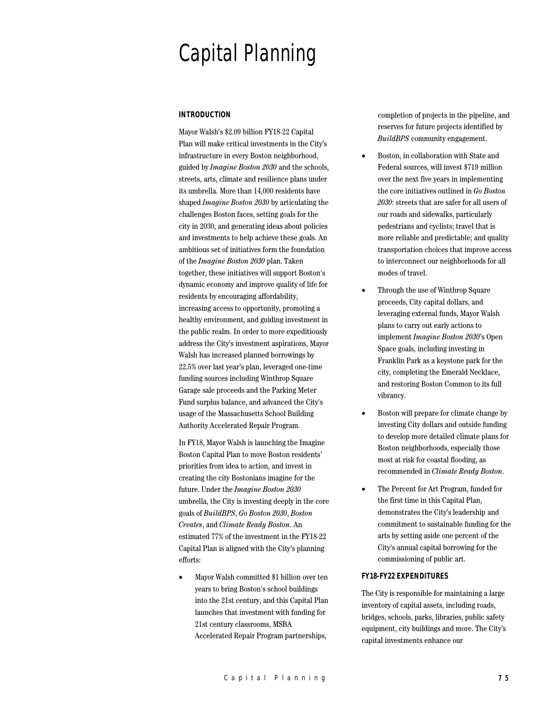# Capital Planning

## **INTRODUCTION**

Mayor Walsh's \$2.09 billion FY18-22 Capital Plan will make critical investments in the City's infrastructure in every Boston neighborhood, guided by *Imagine Boston 2030* and the schools, streets, arts, climate and resilience plans under its umbrella. More than 14,000 residents have shaped *Imagine Boston 2030* by articulating the challenges Boston faces, setting goals for the city in 2030, and generating ideas about policies and investments to help achieve these goals. An ambitious set of initiatives form the foundation of the *Imagine Boston 2030* plan. Taken together, these initiatives will support Boston's dynamic economy and improve quality of life for residents by encouraging affordability, increasing access to opportunity, promoting a healthy environment, and guiding investment in the public realm. In order to more expeditiously address the City's investment aspirations, Mayor Walsh has increased planned borrowings by 22.5% over last year's plan, leveraged one-time funding sources including Winthrop Square Garage sale proceeds and the Parking Meter Fund surplus balance, and advanced the City's usage of the Massachusetts School Building Authority Accelerated Repair Program.

In FY18, Mayor Walsh is launching the Imagine Boston Capital Plan to move Boston residents' priorities from idea to action, and invest in creating the city Bostonians imagine for the future. Under the *Imagine Boston 2030* umbrella, the City is investing deeply in the core goals of *BuildBPS*, *Go Boston 2030*, *Boston Creates*, and *Climate Ready Boston*. An estimated 77% of the investment in the FY18-22 Capital Plan is aligned with the City's planning efforts:

• Mayor Walsh committed \$1 billion over ten years to bring Boston's school buildings into the 21st century, and this Capital Plan launches that investment with funding for 21st century classrooms, MSBA Accelerated Repair Program partnerships,

completion of projects in the pipeline, and reserves for future projects identified by *BuildBPS* community engagement.

- Boston, in collaboration with State and Federal sources, will invest \$719 million over the next five years in implementing the core initiatives outlined in *Go Boston 2030*: streets that are safer for all users of our roads and sidewalks, particularly pedestrians and cyclists; travel that is more reliable and predictable; and quality transportation choices that improve access to interconnect our neighborhoods for all modes of travel.
- Through the use of Winthrop Square proceeds, City capital dollars, and leveraging external funds, Mayor Walsh plans to carry out early actions to implement *Imagine Boston 2030*'s Open Space goals, including investing in Franklin Park as a keystone park for the city, completing the Emerald Necklace, and restoring Boston Common to its full vibrancy.
- Boston will prepare for climate change by investing City dollars and outside funding to develop more detailed climate plans for Boston neighborhoods, especially those most at risk for coastal flooding, as recommended in *Climate Ready Boston*.
- The Percent for Art Program, funded for the first time in this Capital Plan, demonstrates the City's leadership and commitment to sustainable funding for the arts by setting aside one percent of the City's annual capital borrowing for the commissioning of public art.

## **FY18-FY22 EXPENDITURES**

The City is responsible for maintaining a large inventory of capital assets, including roads, bridges, schools, parks, libraries, public safety equipment, city buildings and more. The City's capital investments enhance our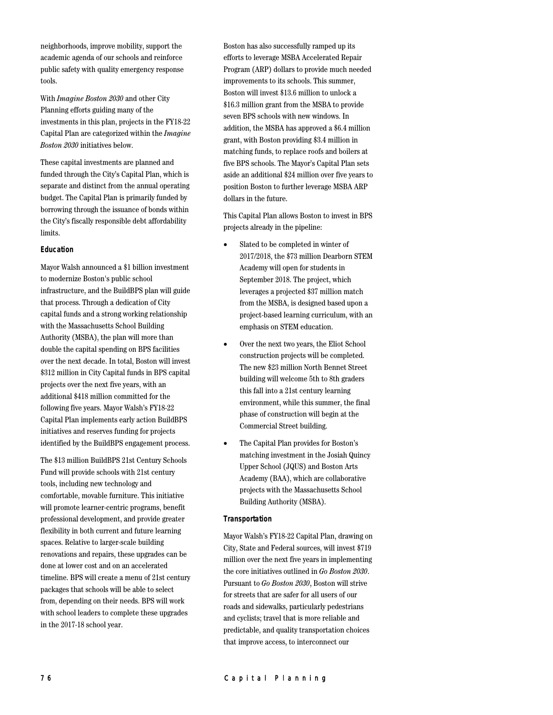neighborhoods, improve mobility, support the academic agenda of our schools and reinforce public safety with quality emergency response tools.

With *Imagine Boston 2030* and other City Planning efforts guiding many of the investments in this plan, projects in the FY18-22 Capital Plan are categorized within the *Imagine Boston 2030* initiatives below.

These capital investments are planned and funded through the City's Capital Plan, which is separate and distinct from the annual operating budget. The Capital Plan is primarily funded by borrowing through the issuance of bonds within the City's fiscally responsible debt affordability limits.

## **Education**

Mayor Walsh announced a \$1 billion investment to modernize Boston's public school infrastructure, and the BuildBPS plan will guide that process. Through a dedication of City capital funds and a strong working relationship with the Massachusetts School Building Authority (MSBA), the plan will more than double the capital spending on BPS facilities over the next decade. In total, Boston will invest \$312 million in City Capital funds in BPS capital projects over the next five years, with an additional \$418 million committed for the following five years. Mayor Walsh's FY18-22 Capital Plan implements early action BuildBPS initiatives and reserves funding for projects identified by the BuildBPS engagement process.

The \$13 million BuildBPS 21st Century Schools Fund will provide schools with 21st century tools, including new technology and comfortable, movable furniture. This initiative will promote learner-centric programs, benefit professional development, and provide greater flexibility in both current and future learning spaces. Relative to larger-scale building renovations and repairs, these upgrades can be done at lower cost and on an accelerated timeline. BPS will create a menu of 21st century packages that schools will be able to select from, depending on their needs. BPS will work with school leaders to complete these upgrades in the 2017-18 school year.

Boston has also successfully ramped up its efforts to leverage MSBA Accelerated Repair Program (ARP) dollars to provide much needed improvements to its schools. This summer, Boston will invest \$13.6 million to unlock a \$16.3 million grant from the MSBA to provide seven BPS schools with new windows. In addition, the MSBA has approved a \$6.4 million grant, with Boston providing \$3.4 million in matching funds, to replace roofs and boilers at five BPS schools. The Mayor's Capital Plan sets aside an additional \$24 million over five years to position Boston to further leverage MSBA ARP dollars in the future.

This Capital Plan allows Boston to invest in BPS projects already in the pipeline:

- Slated to be completed in winter of 2017/2018, the \$73 million Dearborn STEM Academy will open for students in September 2018. The project, which leverages a projected \$37 million match from the MSBA, is designed based upon a project-based learning curriculum, with an emphasis on STEM education.
- Over the next two years, the Eliot School construction projects will be completed. The new \$23 million North Bennet Street building will welcome 5th to 8th graders this fall into a 21st century learning environment, while this summer, the final phase of construction will begin at the Commercial Street building.
- The Capital Plan provides for Boston's matching investment in the Josiah Quincy Upper School (JQUS) and Boston Arts Academy (BAA), which are collaborative projects with the Massachusetts School Building Authority (MSBA).

### **Transportation**

Mayor Walsh's FY18-22 Capital Plan, drawing on City, State and Federal sources, will invest \$719 million over the next five years in implementing the core initiatives outlined in *Go Boston 2030*. Pursuant to *Go Boston 2030*, Boston will strive for streets that are safer for all users of our roads and sidewalks, particularly pedestrians and cyclists; travel that is more reliable and predictable, and quality transportation choices that improve access, to interconnect our

## 7 6 Capital Planning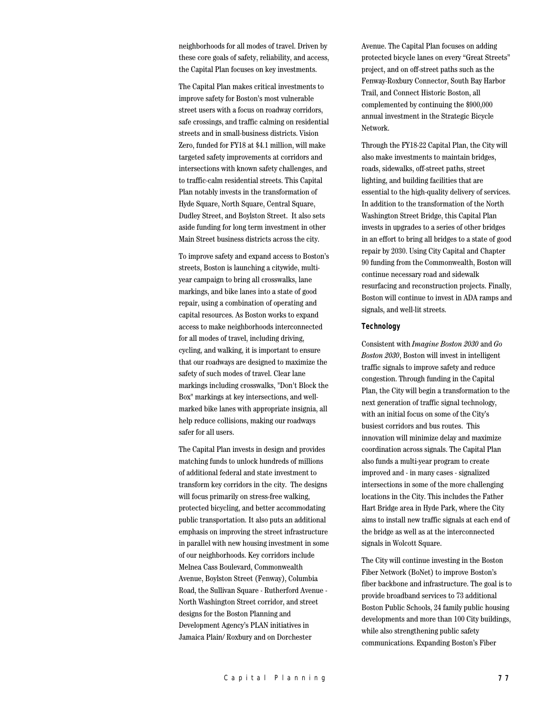neighborhoods for all modes of travel. Driven by these core goals of safety, reliability, and access, the Capital Plan focuses on key investments.

The Capital Plan makes critical investments to improve safety for Boston's most vulnerable street users with a focus on roadway corridors, safe crossings, and traffic calming on residential streets and in small-business districts. Vision Zero, funded for FY18 at \$4.1 million, will make targeted safety improvements at corridors and intersections with known safety challenges, and to traffic-calm residential streets. This Capital Plan notably invests in the transformation of Hyde Square, North Square, Central Square, Dudley Street, and Boylston Street. It also sets aside funding for long term investment in other Main Street business districts across the city.

To improve safety and expand access to Boston's streets, Boston is launching a citywide, multiyear campaign to bring all crosswalks, lane markings, and bike lanes into a state of good repair, using a combination of operating and capital resources. As Boston works to expand access to make neighborhoods interconnected for all modes of travel, including driving, cycling, and walking, it is important to ensure that our roadways are designed to maximize the safety of such modes of travel. Clear lane markings including crosswalks, "Don't Block the Box" markings at key intersections, and wellmarked bike lanes with appropriate insignia, all help reduce collisions, making our roadways safer for all users.

The Capital Plan invests in design and provides matching funds to unlock hundreds of millions of additional federal and state investment to transform key corridors in the city. The designs will focus primarily on stress-free walking, protected bicycling, and better accommodating public transportation. It also puts an additional emphasis on improving the street infrastructure in parallel with new housing investment in some of our neighborhoods. Key corridors include Melnea Cass Boulevard, Commonwealth Avenue, Boylston Street (Fenway), Columbia Road, the Sullivan Square - Rutherford Avenue - North Washington Street corridor, and street designs for the Boston Planning and Development Agency's PLAN initiatives in Jamaica Plain/ Roxbury and on Dorchester

Avenue. The Capital Plan focuses on adding protected bicycle lanes on every "Great Streets" project, and on off-street paths such as the Fenway-Roxbury Connector, South Bay Harbor Trail, and Connect Historic Boston, all complemented by continuing the \$900,000 annual investment in the Strategic Bicycle Network.

Through the FY18-22 Capital Plan, the City will also make investments to maintain bridges, roads, sidewalks, off-street paths, street lighting, and building facilities that are essential to the high-quality delivery of services. In addition to the transformation of the North Washington Street Bridge, this Capital Plan invests in upgrades to a series of other bridges in an effort to bring all bridges to a state of good repair by 2030. Using City Capital and Chapter 90 funding from the Commonwealth, Boston will continue necessary road and sidewalk resurfacing and reconstruction projects. Finally, Boston will continue to invest in ADA ramps and signals, and well-lit streets.

#### **Technology**

Consistent with *Imagine Boston 2030* and *Go Boston 2030*, Boston will invest in intelligent traffic signals to improve safety and reduce congestion. Through funding in the Capital Plan, the City will begin a transformation to the next generation of traffic signal technology, with an initial focus on some of the City's busiest corridors and bus routes. This innovation will minimize delay and maximize coordination across signals. The Capital Plan also funds a multi-year program to create improved and - in many cases - signalized intersections in some of the more challenging locations in the City. This includes the Father Hart Bridge area in Hyde Park, where the City aims to install new traffic signals at each end of the bridge as well as at the interconnected signals in Wolcott Square.

The City will continue investing in the Boston Fiber Network (BoNet) to improve Boston's fiber backbone and infrastructure. The goal is to provide broadband services to 73 additional Boston Public Schools, 24 family public housing developments and more than 100 City buildings, while also strengthening public safety communications. Expanding Boston's Fiber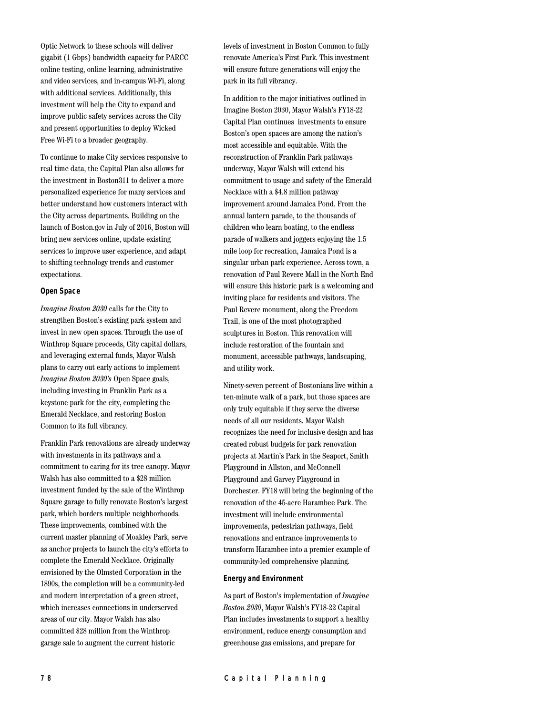Optic Network to these schools will deliver gigabit (1 Gbps) bandwidth capacity for PARCC online testing, online learning, administrative and video services, and in-campus Wi-Fi, along with additional services. Additionally, this investment will help the City to expand and improve public safety services across the City and present opportunities to deploy Wicked Free Wi-Fi to a broader geography.

To continue to make City services responsive to real time data, the Capital Plan also allows for the investment in Boston311 to deliver a more personalized experience for many services and better understand how customers interact with the City across departments. Building on the launch of Boston.gov in July of 2016, Boston will bring new services online, update existing services to improve user experience, and adapt to shifting technology trends and customer expectations.

### **Open Space**

*Imagine Boston 2030* calls for the City to strengthen Boston's existing park system and invest in new open spaces. Through the use of Winthrop Square proceeds, City capital dollars, and leveraging external funds, Mayor Walsh plans to carry out early actions to implement *Imagine Boston 2030's* Open Space goals, including investing in Franklin Park as a keystone park for the city, completing the Emerald Necklace, and restoring Boston Common to its full vibrancy.

Franklin Park renovations are already underway with investments in its pathways and a commitment to caring for its tree canopy. Mayor Walsh has also committed to a \$28 million investment funded by the sale of the Winthrop Square garage to fully renovate Boston's largest park, which borders multiple neighborhoods. These improvements, combined with the current master planning of Moakley Park, serve as anchor projects to launch the city's efforts to complete the Emerald Necklace. Originally envisioned by the Olmsted Corporation in the 1890s, the completion will be a community-led and modern interpretation of a green street, which increases connections in underserved areas of our city. Mayor Walsh has also committed \$28 million from the Winthrop garage sale to augment the current historic

levels of investment in Boston Common to fully renovate America's First Park. This investment will ensure future generations will enjoy the park in its full vibrancy.

In addition to the major initiatives outlined in Imagine Boston 2030, Mayor Walsh's FY18-22 Capital Plan continues investments to ensure Boston's open spaces are among the nation's most accessible and equitable. With the reconstruction of Franklin Park pathways underway, Mayor Walsh will extend his commitment to usage and safety of the Emerald Necklace with a \$4.8 million pathway improvement around Jamaica Pond. From the annual lantern parade, to the thousands of children who learn boating, to the endless parade of walkers and joggers enjoying the 1.5 mile loop for recreation, Jamaica Pond is a singular urban park experience. Across town, a renovation of Paul Revere Mall in the North End will ensure this historic park is a welcoming and inviting place for residents and visitors. The Paul Revere monument, along the Freedom Trail, is one of the most photographed sculptures in Boston. This renovation will include restoration of the fountain and monument, accessible pathways, landscaping, and utility work.

Ninety-seven percent of Bostonians live within a ten-minute walk of a park, but those spaces are only truly equitable if they serve the diverse needs of all our residents. Mayor Walsh recognizes the need for inclusive design and has created robust budgets for park renovation projects at Martin's Park in the Seaport, Smith Playground in Allston, and McConnell Playground and Garvey Playground in Dorchester. FY18 will bring the beginning of the renovation of the 45-acre Harambee Park. The investment will include environmental improvements, pedestrian pathways, field renovations and entrance improvements to transform Harambee into a premier example of community-led comprehensive planning.

### **Energy and Environment**

As part of Boston's implementation of *Imagine Boston 2030*, Mayor Walsh's FY18-22 Capital Plan includes investments to support a healthy environment, reduce energy consumption and greenhouse gas emissions, and prepare for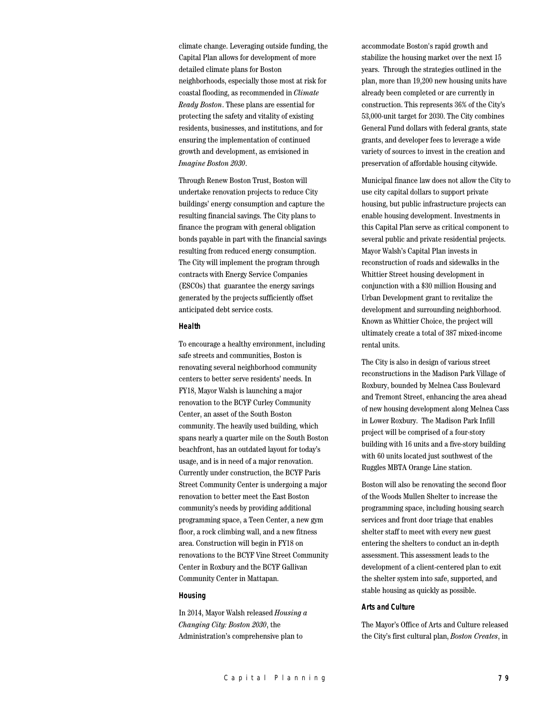climate change. Leveraging outside funding, the Capital Plan allows for development of more detailed climate plans for Boston neighborhoods, especially those most at risk for coastal flooding, as recommended in *Climate Ready Boston*. These plans are essential for protecting the safety and vitality of existing residents, businesses, and institutions, and for ensuring the implementation of continued growth and development, as envisioned in *Imagine Boston 2030*.

Through Renew Boston Trust, Boston will undertake renovation projects to reduce City buildings' energy consumption and capture the resulting financial savings. The City plans to finance the program with general obligation bonds payable in part with the financial savings resulting from reduced energy consumption. The City will implement the program through contracts with Energy Service Companies (ESCOs) that guarantee the energy savings generated by the projects sufficiently offset anticipated debt service costs.

## **Health**

To encourage a healthy environment, including safe streets and communities, Boston is renovating several neighborhood community centers to better serve residents' needs. In FY18, Mayor Walsh is launching a major renovation to the BCYF Curley Community Center, an asset of the South Boston community. The heavily used building, which spans nearly a quarter mile on the South Boston beachfront, has an outdated layout for today's usage, and is in need of a major renovation. Currently under construction, the BCYF Paris Street Community Center is undergoing a major renovation to better meet the East Boston community's needs by providing additional programming space, a Teen Center, a new gym floor, a rock climbing wall, and a new fitness area. Construction will begin in FY18 on renovations to the BCYF Vine Street Community Center in Roxbury and the BCYF Gallivan Community Center in Mattapan.

## **Housing**

In 2014, Mayor Walsh released *Housing a Changing City: Boston 2030*, the Administration's comprehensive plan to

accommodate Boston's rapid growth and stabilize the housing market over the next 15 years. Through the strategies outlined in the plan, more than 19,200 new housing units have already been completed or are currently in construction. This represents 36% of the City's 53,000-unit target for 2030. The City combines General Fund dollars with federal grants, state grants, and developer fees to leverage a wide variety of sources to invest in the creation and preservation of affordable housing citywide.

Municipal finance law does not allow the City to use city capital dollars to support private housing, but public infrastructure projects can enable housing development. Investments in this Capital Plan serve as critical component to several public and private residential projects. Mayor Walsh's Capital Plan invests in reconstruction of roads and sidewalks in the Whittier Street housing development in conjunction with a \$30 million Housing and Urban Development grant to revitalize the development and surrounding neighborhood. Known as Whittier Choice, the project will ultimately create a total of 387 mixed-income rental units.

The City is also in design of various street reconstructions in the Madison Park Village of Roxbury, bounded by Melnea Cass Boulevard and Tremont Street, enhancing the area ahead of new housing development along Melnea Cass in Lower Roxbury. The Madison Park Infill project will be comprised of a four-story building with 16 units and a five-story building with 60 units located just southwest of the Ruggles MBTA Orange Line station.

Boston will also be renovating the second floor of the Woods Mullen Shelter to increase the programming space, including housing search services and front door triage that enables shelter staff to meet with every new guest entering the shelters to conduct an in-depth assessment. This assessment leads to the development of a client-centered plan to exit the shelter system into safe, supported, and stable housing as quickly as possible.

#### **Arts and Culture**

The Mayor's Office of Arts and Culture released the City's first cultural plan, *Boston Creates*, in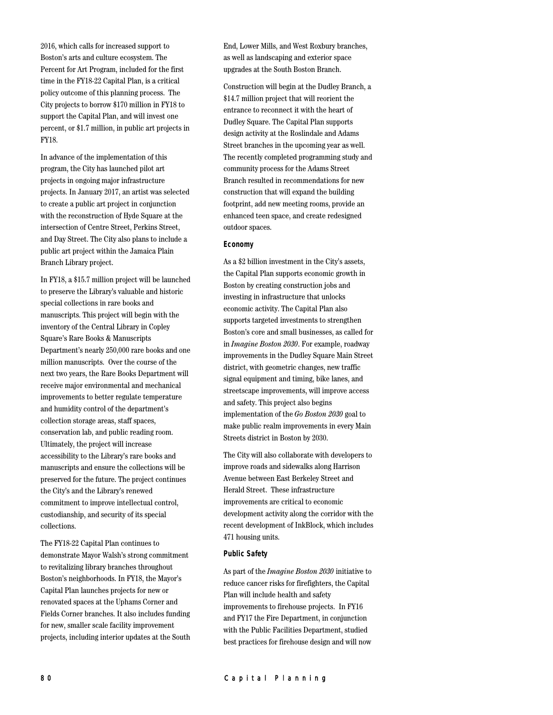2016, which calls for increased support to Boston's arts and culture ecosystem. The Percent for Art Program, included for the first time in the FY18-22 Capital Plan, is a critical policy outcome of this planning process. The City projects to borrow \$170 million in FY18 to support the Capital Plan, and will invest one percent, or \$1.7 million, in public art projects in FY18.

In advance of the implementation of this program, the City has launched pilot art projects in ongoing major infrastructure projects. In January 2017, an artist was selected to create a public art project in conjunction with the reconstruction of Hyde Square at the intersection of Centre Street, Perkins Street, and Day Street. The City also plans to include a public art project within the Jamaica Plain Branch Library project.

In FY18, a \$15.7 million project will be launched to preserve the Library's valuable and historic special collections in rare books and manuscripts. This project will begin with the inventory of the Central Library in Copley Square's Rare Books & Manuscripts Department's nearly 250,000 rare books and one million manuscripts. Over the course of the next two years, the Rare Books Department will receive major environmental and mechanical improvements to better regulate temperature and humidity control of the department's collection storage areas, staff spaces, conservation lab, and public reading room. Ultimately, the project will increase accessibility to the Library's rare books and manuscripts and ensure the collections will be preserved for the future. The project continues the City's and the Library's renewed commitment to improve intellectual control, custodianship, and security of its special collections.

The FY18-22 Capital Plan continues to demonstrate Mayor Walsh's strong commitment to revitalizing library branches throughout Boston's neighborhoods. In FY18, the Mayor's Capital Plan launches projects for new or renovated spaces at the Uphams Corner and Fields Corner branches. It also includes funding for new, smaller scale facility improvement projects, including interior updates at the South

End, Lower Mills, and West Roxbury branches, as well as landscaping and exterior space upgrades at the South Boston Branch.

Construction will begin at the Dudley Branch, a \$14.7 million project that will reorient the entrance to reconnect it with the heart of Dudley Square. The Capital Plan supports design activity at the Roslindale and Adams Street branches in the upcoming year as well. The recently completed programming study and community process for the Adams Street Branch resulted in recommendations for new construction that will expand the building footprint, add new meeting rooms, provide an enhanced teen space, and create redesigned outdoor spaces.

## **Economy**

As a \$2 billion investment in the City's assets, the Capital Plan supports economic growth in Boston by creating construction jobs and investing in infrastructure that unlocks economic activity. The Capital Plan also supports targeted investments to strengthen Boston's core and small businesses, as called for in *Imagine Boston 2030*. For example, roadway improvements in the Dudley Square Main Street district, with geometric changes, new traffic signal equipment and timing, bike lanes, and streetscape improvements, will improve access and safety. This project also begins implementation of the *Go Boston 2030* goal to make public realm improvements in every Main Streets district in Boston by 2030.

The City will also collaborate with developers to improve roads and sidewalks along Harrison Avenue between East Berkeley Street and Herald Street. These infrastructure improvements are critical to economic development activity along the corridor with the recent development of InkBlock, which includes 471 housing units.

### **Public Safety**

As part of the *Imagine Boston 2030* initiative to reduce cancer risks for firefighters, the Capital Plan will include health and safety improvements to firehouse projects. In FY16 and FY17 the Fire Department, in conjunction with the Public Facilities Department, studied best practices for firehouse design and will now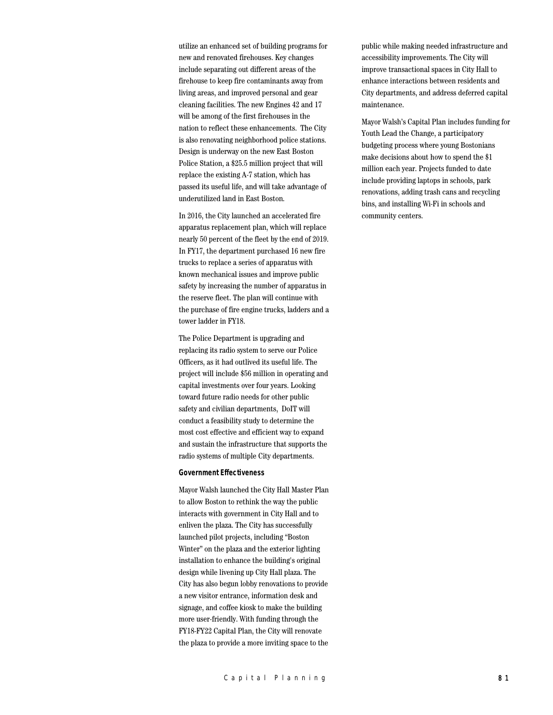utilize an enhanced set of building programs for new and renovated firehouses. Key changes include separating out different areas of the firehouse to keep fire contaminants away from living areas, and improved personal and gear cleaning facilities. The new Engines 42 and 17 will be among of the first firehouses in the nation to reflect these enhancements. The City is also renovating neighborhood police stations. Design is underway on the new East Boston Police Station, a \$25.5 million project that will replace the existing A-7 station, which has passed its useful life, and will take advantage of underutilized land in East Boston.

In 2016, the City launched an accelerated fire apparatus replacement plan, which will replace nearly 50 percent of the fleet by the end of 2019. In FY17, the department purchased 16 new fire trucks to replace a series of apparatus with known mechanical issues and improve public safety by increasing the number of apparatus in the reserve fleet. The plan will continue with the purchase of fire engine trucks, ladders and a tower ladder in FY18.

The Police Department is upgrading and replacing its radio system to serve our Police Officers, as it had outlived its useful life. The project will include \$56 million in operating and capital investments over four years. Looking toward future radio needs for other public safety and civilian departments, DoIT will conduct a feasibility study to determine the most cost effective and efficient way to expand and sustain the infrastructure that supports the radio systems of multiple City departments.

#### **Government Effectiveness**

Mayor Walsh launched the City Hall Master Plan to allow Boston to rethink the way the public interacts with government in City Hall and to enliven the plaza. The City has successfully launched pilot projects, including "Boston Winter" on the plaza and the exterior lighting installation to enhance the building's original design while livening up City Hall plaza. The City has also begun lobby renovations to provide a new visitor entrance, information desk and signage, and coffee kiosk to make the building more user-friendly. With funding through the FY18-FY22 Capital Plan, the City will renovate the plaza to provide a more inviting space to the

public while making needed infrastructure and accessibility improvements. The City will improve transactional spaces in City Hall to enhance interactions between residents and City departments, and address deferred capital maintenance.

Mayor Walsh's Capital Plan includes funding for Youth Lead the Change, a participatory budgeting process where young Bostonians make decisions about how to spend the \$1 million each year. Projects funded to date include providing laptops in schools, park renovations, adding trash cans and recycling bins, and installing Wi-Fi in schools and community centers.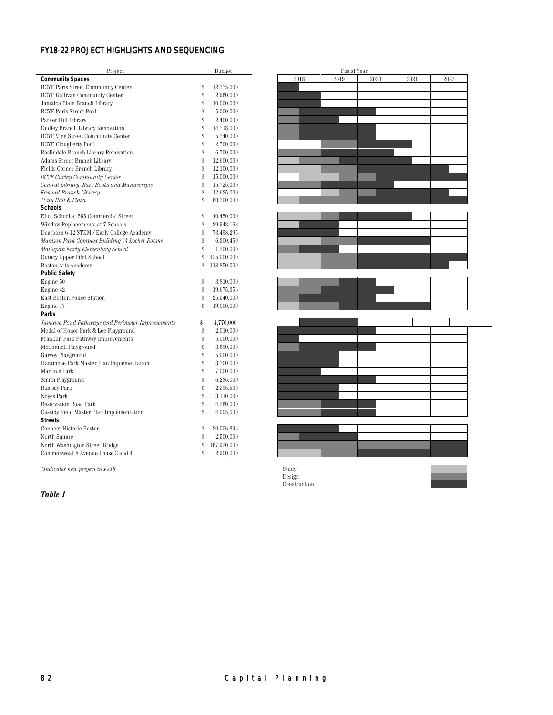# FY18-22 PROJECT HIGHLIGHTS AND SEQUENCING

| Project                                          |    | Budget      |      | <b>Fiscal Year</b> |  |
|--------------------------------------------------|----|-------------|------|--------------------|--|
| <b>Community Spaces</b>                          |    |             | 2018 | 2019               |  |
| <b>BCYF Paris Street Community Center</b>        | \$ | 12,375,000  |      |                    |  |
| BCYF Gallivan Community Center                   | \$ | 2,960,000   |      |                    |  |
| Jamaica Plain Branch Library                     | \$ | 10,000,000  |      |                    |  |
| <b>BCYF Paris Street Pool</b>                    | \$ | 5,000,000   |      |                    |  |
| Parker Hill Library                              | \$ | 2,400,000   |      |                    |  |
| Dudley Branch Library Renovation                 | \$ | 14,718,000  |      |                    |  |
| BCYF Vine Street Community Center                | \$ | 5,340,000   |      |                    |  |
| <b>BCYF Clougherty Pool</b>                      | \$ | 2,700,000   |      |                    |  |
| Roslindale Branch Library Renovation             | \$ | 6,700,000   |      |                    |  |
| Adams Street Branch Library                      | \$ | 12,600,000  |      |                    |  |
| Fields Corner Branch Library                     | \$ | 12,100,000  |      |                    |  |
| <b>BCYF Curley Community Center</b>              | \$ | 15,000,000  |      |                    |  |
| Central Library: Rare Books and Manuscripts      | \$ | 15,725,000  |      |                    |  |
| Faneuil Branch Library                           | \$ | 12,625,000  |      |                    |  |
| *City Hall & Plaza                               | \$ | 60,300,000  |      |                    |  |
| <b>Schools</b>                                   |    |             |      |                    |  |
| Eliot School at 585 Commercial Street            | \$ | 40,450,000  |      |                    |  |
| Window Replacements at 7 Schools                 | \$ | 29,943,163  |      |                    |  |
| Dearborn 6-12 STEM / Early College Academy       | \$ | 73,498,295  |      |                    |  |
| Madison Park Complex Building #4 Locker Rooms    | \$ | 6,300,450   |      |                    |  |
| Mattapan Early Elementary School                 | \$ | 1,200,000   |      |                    |  |
| Quincy Upper Pilot School                        | \$ | 125,000,000 |      |                    |  |
| Boston Arts Academy                              | \$ | 118,850,000 |      |                    |  |
| <b>Public Safety</b>                             |    |             |      |                    |  |
| Engine 50                                        | \$ | 3,810,000   |      |                    |  |
| Engine 42                                        | \$ | 19,675,356  |      |                    |  |
| East Boston Police Station                       | \$ | 25,540,000  |      |                    |  |
| Engine 17                                        | Ŝ  | 19,000,000  |      |                    |  |
| Parks                                            |    |             |      |                    |  |
| Jamaica Pond Pathways and Perimeter Improvements | \$ | 4,770,000   |      |                    |  |
| Medal of Honor Park & Lee Playground             | \$ | 2,010,000   |      |                    |  |
| Franklin Park Pathway Improvements               | \$ | 5,000,000   |      |                    |  |
| McConnell Playground                             | \$ | 3,690,000   |      |                    |  |
| Garvey Playground                                | \$ | 5,000,000   |      |                    |  |
| Harambee Park Master Plan Implementation         | \$ | 3,700,000   |      |                    |  |
| Martin's Park                                    | \$ | 7,000,000   |      |                    |  |
| Smith Playground                                 | \$ | 6,285,000   |      |                    |  |
| Ramsay Park                                      | \$ | 2,395,500   |      |                    |  |
| Noyes Park                                       | \$ | 3,110,000   |      |                    |  |
| <b>Reservation Road Park</b>                     | \$ | 4,260,000   |      |                    |  |
| Cassidy Field Master Plan Implementation         | \$ | 4,005,030   |      |                    |  |
| <b>Streets</b>                                   |    |             |      |                    |  |
| Connect Historic Boston                          | \$ | 30,006,896  |      |                    |  |
| North Square                                     | \$ | 2,500,000   |      |                    |  |
| North Washington Street Bridge                   | \$ | 167,920,000 |      |                    |  |
| Commonwealth Avenue Phase 3 and 4                | \$ | 2,900,000   |      |                    |  |
|                                                  |    |             |      |                    |  |

|          | $\operatorname{Fiscal}$ Year |          |          |          |  |
|----------|------------------------------|----------|----------|----------|--|
| $2018\,$ | 2019                         | $2020\,$ | $2021\,$ | $2022\,$ |  |
|          |                              |          |          |          |  |
|          |                              |          |          |          |  |
|          |                              |          |          |          |  |
|          |                              |          |          |          |  |
|          |                              |          |          |          |  |
|          |                              |          |          |          |  |
|          |                              |          |          |          |  |
|          |                              |          |          |          |  |
|          |                              |          |          |          |  |
|          |                              |          |          |          |  |
|          |                              |          |          |          |  |
|          |                              |          |          |          |  |
|          |                              |          |          |          |  |
|          |                              |          |          |          |  |
|          |                              |          |          |          |  |
|          |                              |          |          |          |  |
|          |                              |          |          |          |  |
|          |                              |          |          |          |  |
|          |                              |          |          |          |  |
|          |                              |          |          |          |  |
|          |                              |          |          |          |  |
|          |                              |          |          |          |  |
|          |                              |          |          |          |  |
|          |                              |          |          |          |  |
|          |                              |          |          |          |  |
|          |                              |          |          |          |  |
|          |                              |          |          |          |  |
|          |                              |          |          |          |  |
|          |                              |          |          |          |  |
|          |                              |          |          |          |  |
|          |                              |          |          |          |  |
|          |                              |          |          |          |  |
|          |                              |          |          |          |  |
|          |                              |          |          |          |  |
|          |                              |          |          |          |  |
|          |                              |          |          |          |  |
|          |                              |          |          |          |  |
|          |                              |          |          |          |  |
|          |                              |          |          |          |  |
|          |                              |          |          |          |  |
|          |                              |          |          |          |  |
|          |                              |          |          |          |  |
|          |                              |          |          |          |  |
|          |                              |          |          |          |  |
|          |                              |          |          |          |  |

 $*Indicates\ new\ project\ in\ FY18$ 

*Table 1*

Design Construction

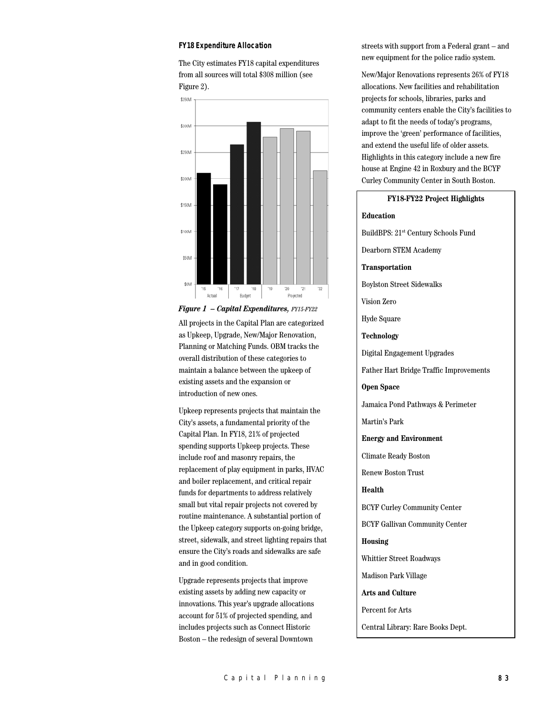#### **FY18 Expenditure Allocation**

The City estimates FY18 capital expenditures from all sources will total \$308 million (see Figure 2).



*Figure 1 – Capital Expenditures, FY15-FY22* All projects in the Capital Plan are categorized as Upkeep, Upgrade, New/Major Renovation, Planning or Matching Funds. OBM tracks the overall distribution of these categories to maintain a balance between the upkeep of existing assets and the expansion or introduction of new ones.

Upkeep represents projects that maintain the City's assets, a fundamental priority of the Capital Plan. In FY18, 21% of projected spending supports Upkeep projects. These include roof and masonry repairs, the replacement of play equipment in parks, HVAC and boiler replacement, and critical repair funds for departments to address relatively small but vital repair projects not covered by routine maintenance. A substantial portion of the Upkeep category supports on-going bridge, street, sidewalk, and street lighting repairs that ensure the City's roads and sidewalks are safe and in good condition.

Upgrade represents projects that improve existing assets by adding new capacity or innovations. This year's upgrade allocations account for 51% of projected spending, and includes projects such as Connect Historic Boston – the redesign of several Downtown

streets with support from a Federal grant – and new equipment for the police radio system.

New/Major Renovations represents 26% of FY18 allocations. New facilities and rehabilitation projects for schools, libraries, parks and community centers enable the City's facilities to adapt to fit the needs of today's programs, improve the 'green' performance of facilities, and extend the useful life of older assets. Highlights in this category include a new fire house at Engine 42 in Roxbury and the BCYF Curley Community Center in South Boston.

# **FY18-FY22 Project Highlights Education** BuildBPS: 21st Century Schools Fund Dearborn STEM Academy **Transportation** Boylston Street Sidewalks Vision Zero Hyde Square **Technology** Digital Engagement Upgrades Father Hart Bridge Traffic Improvements **Open Space** Jamaica Pond Pathways & Perimeter Martin's Park **Energy and Environment** Climate Ready Boston Renew Boston Trust **Health** BCYF Curley Community Center BCYF Gallivan Community Center **Housing** Whittier Street Roadways Madison Park Village **Arts and Culture** Percent for Arts Central Library: Rare Books Dept.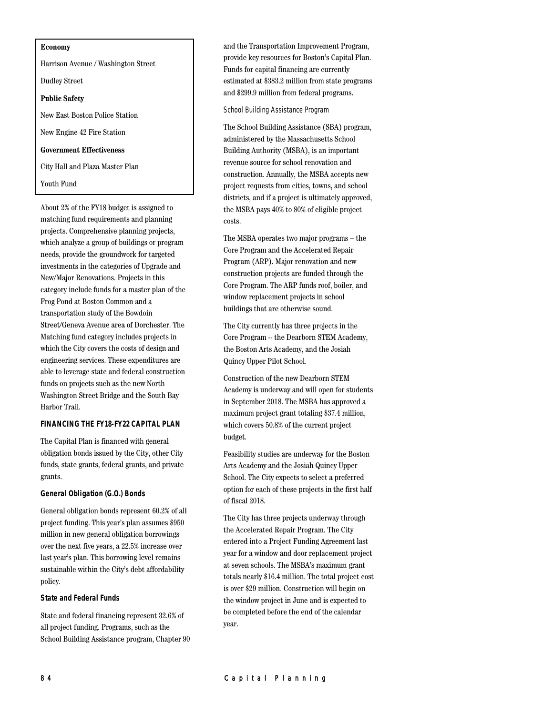#### **Economy**

Harrison Avenue / Washington Street Dudley Street **Public Safety** New East Boston Police Station New Engine 42 Fire Station **Government Effectiveness** City Hall and Plaza Master Plan Youth Fund

About 2% of the FY18 budget is assigned to matching fund requirements and planning projects. Comprehensive planning projects, which analyze a group of buildings or program needs, provide the groundwork for targeted investments in the categories of Upgrade and New/Major Renovations. Projects in this category include funds for a master plan of the Frog Pond at Boston Common and a transportation study of the Bowdoin Street/Geneva Avenue area of Dorchester. The Matching fund category includes projects in which the City covers the costs of design and engineering services. These expenditures are able to leverage state and federal construction funds on projects such as the new North Washington Street Bridge and the South Bay Harbor Trail.

## **FINANCING THE FY18-FY22 CAPITAL PLAN**

The Capital Plan is financed with general obligation bonds issued by the City, other City funds, state grants, federal grants, and private grants.

## **General Obligation (G.O.) Bonds**

General obligation bonds represent 60.2% of all project funding. This year's plan assumes \$950 million in new general obligation borrowings over the next five years, a 22.5% increase over last year's plan. This borrowing level remains sustainable within the City's debt affordability policy.

### **State and Federal Funds**

State and federal financing represent 32.6% of all project funding. Programs, such as the School Building Assistance program, Chapter 90 and the Transportation Improvement Program, provide key resources for Boston's Capital Plan. Funds for capital financing are currently estimated at \$383.2 million from state programs and \$299.9 million from federal programs.

School Building Assistance Program

The School Building Assistance (SBA) program, administered by the Massachusetts School Building Authority (MSBA), is an important revenue source for school renovation and construction. Annually, the MSBA accepts new project requests from cities, towns, and school districts, and if a project is ultimately approved, the MSBA pays 40% to 80% of eligible project costs.

The MSBA operates two major programs – the Core Program and the Accelerated Repair Program (ARP). Major renovation and new construction projects are funded through the Core Program. The ARP funds roof, boiler, and window replacement projects in school buildings that are otherwise sound.

The City currently has three projects in the Core Program -- the Dearborn STEM Academy, the Boston Arts Academy, and the Josiah Quincy Upper Pilot School.

Construction of the new Dearborn STEM Academy is underway and will open for students in September 2018. The MSBA has approved a maximum project grant totaling \$37.4 million, which covers 50.8% of the current project budget.

Feasibility studies are underway for the Boston Arts Academy and the Josiah Quincy Upper School. The City expects to select a preferred option for each of these projects in the first half of fiscal 2018.

The City has three projects underway through the Accelerated Repair Program. The City entered into a Project Funding Agreement last year for a window and door replacement project at seven schools. The MSBA's maximum grant totals nearly \$16.4 million. The total project cost is over \$29 million. Construction will begin on the window project in June and is expected to be completed before the end of the calendar year.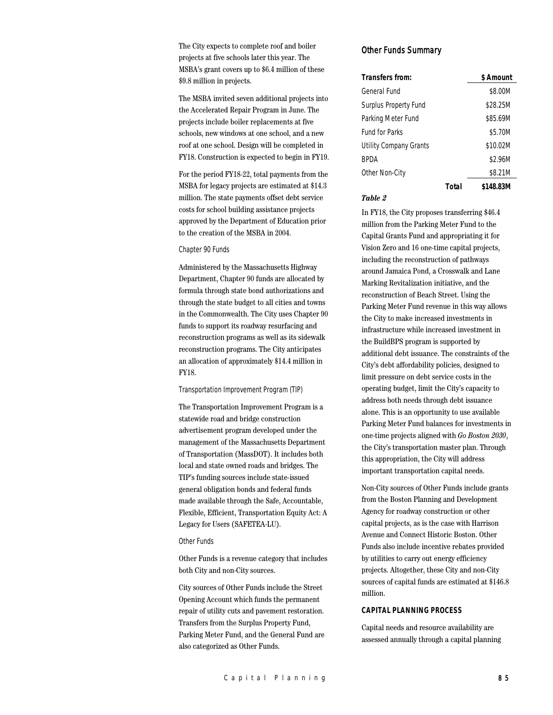The City expects to complete roof and boiler projects at five schools later this year. The MSBA's grant covers up to \$6.4 million of these \$9.8 million in projects.

The MSBA invited seven additional projects into the Accelerated Repair Program in June. The projects include boiler replacements at five schools, new windows at one school, and a new roof at one school. Design will be completed in FY18. Construction is expected to begin in FY19.

For the period FY18-22, total payments from the MSBA for legacy projects are estimated at \$14.3 million. The state payments offset debt service costs for school building assistance projects approved by the Department of Education prior to the creation of the MSBA in 2004.

#### Chapter 90 Funds

Administered by the Massachusetts Highway Department, Chapter 90 funds are allocated by formula through state bond authorizations and through the state budget to all cities and towns in the Commonwealth. The City uses Chapter 90 funds to support its roadway resurfacing and reconstruction programs as well as its sidewalk reconstruction programs. The City anticipates an allocation of approximately \$14.4 million in FY18.

#### Transportation Improvement Program (TIP)

The Transportation Improvement Program is a statewide road and bridge construction advertisement program developed under the management of the Massachusetts Department of Transportation (MassDOT). It includes both local and state owned roads and bridges. The TIP's funding sources include state-issued general obligation bonds and federal funds made available through the Safe, Accountable, Flexible, Efficient, Transportation Equity Act: A Legacy for Users (SAFETEA-LU).

## Other Funds

Other Funds is a revenue category that includes both City and non-City sources.

City sources of Other Funds include the Street Opening Account which funds the permanent repair of utility cuts and pavement restoration. Transfers from the Surplus Property Fund, Parking Meter Fund, and the General Fund are also categorized as Other Funds.

## Other Funds Summary

| Transfers from:        |       | \$ Amount |
|------------------------|-------|-----------|
| General Fund           |       | \$8.00M   |
| Surplus Property Fund  |       | \$28.25M  |
| Parking Meter Fund     |       | \$85.69M  |
| <b>Fund for Parks</b>  |       | \$5.70M   |
| Utility Company Grants |       | \$10.02M  |
| <b>BPDA</b>            |       | \$2.96M   |
| Other Non-City         |       | \$8.21M   |
|                        | Total | \$148.83M |

## *Table 2*

In FY18, the City proposes transferring \$46.4 million from the Parking Meter Fund to the Capital Grants Fund and appropriating it for Vision Zero and 16 one-time capital projects, including the reconstruction of pathways around Jamaica Pond, a Crosswalk and Lane Marking Revitalization initiative, and the reconstruction of Beach Street. Using the Parking Meter Fund revenue in this way allows the City to make increased investments in infrastructure while increased investment in the BuildBPS program is supported by additional debt issuance. The constraints of the City's debt affordability policies, designed to limit pressure on debt service costs in the operating budget, limit the City's capacity to address both needs through debt issuance alone. This is an opportunity to use available Parking Meter Fund balances for investments in one-time projects aligned with *Go Boston 2030*, the City's transportation master plan. Through this appropriation, the City will address important transportation capital needs.

Non-City sources of Other Funds include grants from the Boston Planning and Development Agency for roadway construction or other capital projects, as is the case with Harrison Avenue and Connect Historic Boston. Other Funds also include incentive rebates provided by utilities to carry out energy efficiency projects. Altogether, these City and non-City sources of capital funds are estimated at \$146.8 million.

## **CAPITAL PLANNING PROCESS**

Capital needs and resource availability are assessed annually through a capital planning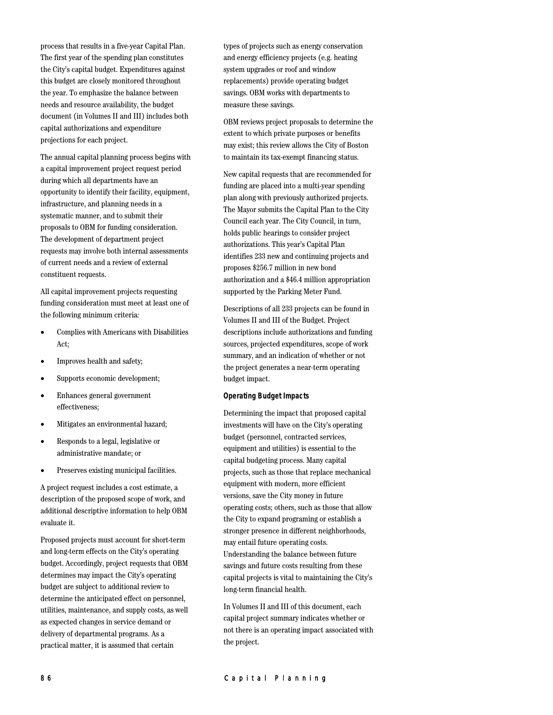process that results in a five-year Capital Plan. The first year of the spending plan constitutes the City's capital budget. Expenditures against this budget are closely monitored throughout the year. To emphasize the balance between needs and resource availability, the budget document (in Volumes II and III) includes both capital authorizations and expenditure projections for each project.

The annual capital planning process begins with a capital improvement project request period during which all departments have an opportunity to identify their facility, equipment, infrastructure, and planning needs in a systematic manner, and to submit their proposals to OBM for funding consideration. The development of department project requests may involve both internal assessments of current needs and a review of external constituent requests.

All capital improvement projects requesting funding consideration must meet at least one of the following minimum criteria:

- Complies with Americans with Disabilities Act;
- Improves health and safety;
- Supports economic development;
- Enhances general government effectiveness;
- Mitigates an environmental hazard;
- Responds to a legal, legislative or administrative mandate; or
- Preserves existing municipal facilities.

A project request includes a cost estimate, a description of the proposed scope of work, and additional descriptive information to help OBM evaluate it.

Proposed projects must account for short-term and long-term effects on the City's operating budget. Accordingly, project requests that OBM determines may impact the City's operating budget are subject to additional review to determine the anticipated effect on personnel, utilities, maintenance, and supply costs, as well as expected changes in service demand or delivery of departmental programs. As a practical matter, it is assumed that certain

types of projects such as energy conservation and energy efficiency projects (e.g. heating system upgrades or roof and window replacements) provide operating budget savings. OBM works with departments to measure these savings.

OBM reviews project proposals to determine the extent to which private purposes or benefits may exist; this review allows the City of Boston to maintain its tax-exempt financing status.

New capital requests that are recommended for funding are placed into a multi-year spending plan along with previously authorized projects. The Mayor submits the Capital Plan to the City Council each year. The City Council, in turn, holds public hearings to consider project authorizations. This year's Capital Plan identifies 233 new and continuing projects and proposes \$256.7 million in new bond authorization and a \$46.4 million appropriation supported by the Parking Meter Fund.

Descriptions of all 233 projects can be found in Volumes II and III of the Budget. Project descriptions include authorizations and funding sources, projected expenditures, scope of work summary, and an indication of whether or not the project generates a near-term operating budget impact.

### **Operating Budget Impacts**

Determining the impact that proposed capital investments will have on the City's operating budget (personnel, contracted services, equipment and utilities) is essential to the capital budgeting process. Many capital projects, such as those that replace mechanical equipment with modern, more efficient versions, save the City money in future operating costs; others, such as those that allow the City to expand programing or establish a stronger presence in different neighborhoods, may entail future operating costs. Understanding the balance between future savings and future costs resulting from these capital projects is vital to maintaining the City's long-term financial health.

In Volumes II and III of this document, each capital project summary indicates whether or not there is an operating impact associated with the project.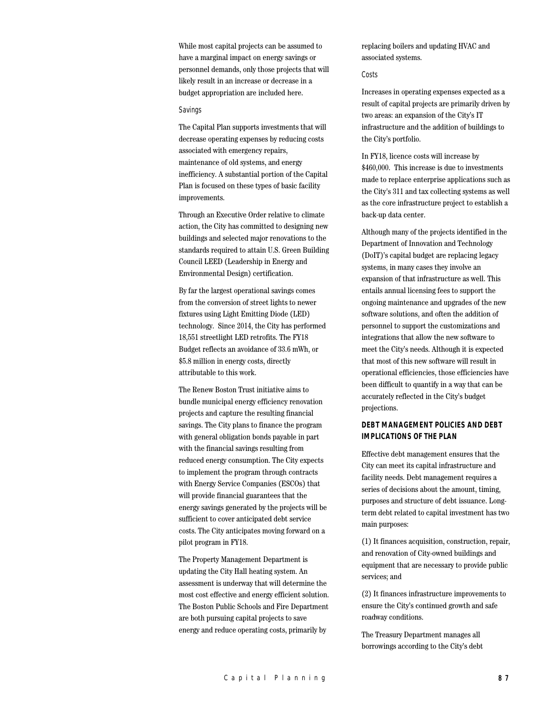While most capital projects can be assumed to have a marginal impact on energy savings or personnel demands, only those projects that will likely result in an increase or decrease in a budget appropriation are included here.

#### Savings

The Capital Plan supports investments that will decrease operating expenses by reducing costs associated with emergency repairs, maintenance of old systems, and energy inefficiency. A substantial portion of the Capital Plan is focused on these types of basic facility improvements.

Through an Executive Order relative to climate action, the City has committed to designing new buildings and selected major renovations to the standards required to attain U.S. Green Building Council LEED (Leadership in Energy and Environmental Design) certification.

By far the largest operational savings comes from the conversion of street lights to newer fixtures using Light Emitting Diode (LED) technology. Since 2014, the City has performed 18,551 streetlight LED retrofits. The FY18 Budget reflects an avoidance of 33.6 mWh, or \$5.8 million in energy costs, directly attributable to this work.

The Renew Boston Trust initiative aims to bundle municipal energy efficiency renovation projects and capture the resulting financial savings. The City plans to finance the program with general obligation bonds payable in part with the financial savings resulting from reduced energy consumption. The City expects to implement the program through contracts with Energy Service Companies (ESCOs) that will provide financial guarantees that the energy savings generated by the projects will be sufficient to cover anticipated debt service costs. The City anticipates moving forward on a pilot program in FY18.

The Property Management Department is updating the City Hall heating system. An assessment is underway that will determine the most cost effective and energy efficient solution. The Boston Public Schools and Fire Department are both pursuing capital projects to save energy and reduce operating costs, primarily by

replacing boilers and updating HVAC and associated systems.

## Costs

Increases in operating expenses expected as a result of capital projects are primarily driven by two areas: an expansion of the City's IT infrastructure and the addition of buildings to the City's portfolio.

In FY18, licence costs will increase by \$460,000. This increase is due to investments made to replace enterprise applications such as the City's 311 and tax collecting systems as well as the core infrastructure project to establish a back-up data center.

Although many of the projects identified in the Department of Innovation and Technology (DoIT)'s capital budget are replacing legacy systems, in many cases they involve an expansion of that infrastructure as well. This entails annual licensing fees to support the ongoing maintenance and upgrades of the new software solutions, and often the addition of personnel to support the customizations and integrations that allow the new software to meet the City's needs. Although it is expected that most of this new software will result in operational efficiencies, those efficiencies have been difficult to quantify in a way that can be accurately reflected in the City's budget projections.

## **DEBT MANAGEMENT POLICIES AND DEBT IMPLICATIONS OF THE PLAN**

Effective debt management ensures that the City can meet its capital infrastructure and facility needs. Debt management requires a series of decisions about the amount, timing, purposes and structure of debt issuance. Longterm debt related to capital investment has two main purposes:

(1) It finances acquisition, construction, repair, and renovation of City-owned buildings and equipment that are necessary to provide public services; and

(2) It finances infrastructure improvements to ensure the City's continued growth and safe roadway conditions.

The Treasury Department manages all borrowings according to the City's debt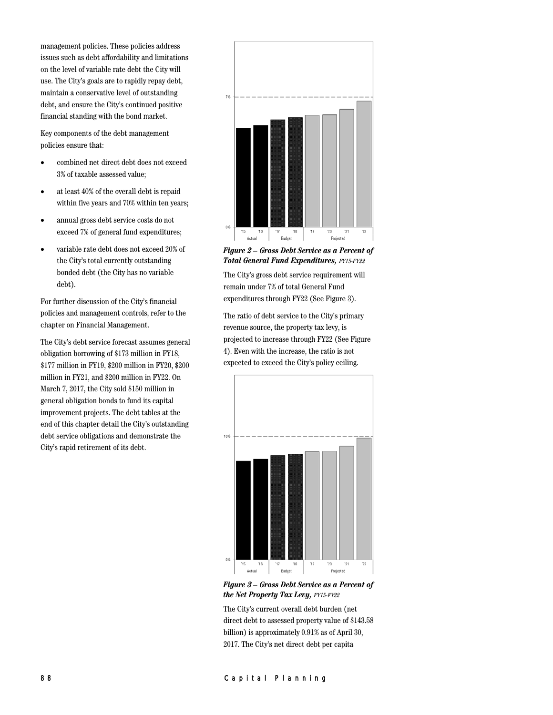management policies. These policies address issues such as debt affordability and limitations on the level of variable rate debt the City will use. The City's goals are to rapidly repay debt, maintain a conservative level of outstanding debt, and ensure the City's continued positive financial standing with the bond market.

Key components of the debt management policies ensure that:

- combined net direct debt does not exceed 3% of taxable assessed value;
- at least 40% of the overall debt is repaid within five years and 70% within ten years;
- annual gross debt service costs do not exceed 7% of general fund expenditures;
- variable rate debt does not exceed 20% of the City's total currently outstanding bonded debt (the City has no variable debt).

For further discussion of the City's financial policies and management controls, refer to the chapter on Financial Management.

The City's debt service forecast assumes general obligation borrowing of \$173 million in FY18, \$177 million in FY19, \$200 million in FY20, \$200 million in FY21, and \$200 million in FY22. On March 7, 2017, the City sold \$150 million in general obligation bonds to fund its capital improvement projects. The debt tables at the end of this chapter detail the City's outstanding debt service obligations and demonstrate the City's rapid retirement of its debt.



*Figure 2 – Gross Debt Service as a Percent of Total General Fund Expenditures, FY15-FY22*

The City's gross debt service requirement will remain under 7% of total General Fund expenditures through FY22 (See Figure 3).

The ratio of debt service to the City's primary revenue source, the property tax levy, is projected to increase through FY22 (See Figure 4). Even with the increase, the ratio is not expected to exceed the City's policy ceiling.



*Figure 3 – Gross Debt Service as a Percent of the Net Property Tax Levy, FY15-FY22*

The City's current overall debt burden (net direct debt to assessed property value of \$143.58 billion) is approximately 0.91% as of April 30, 2017. The City's net direct debt per capita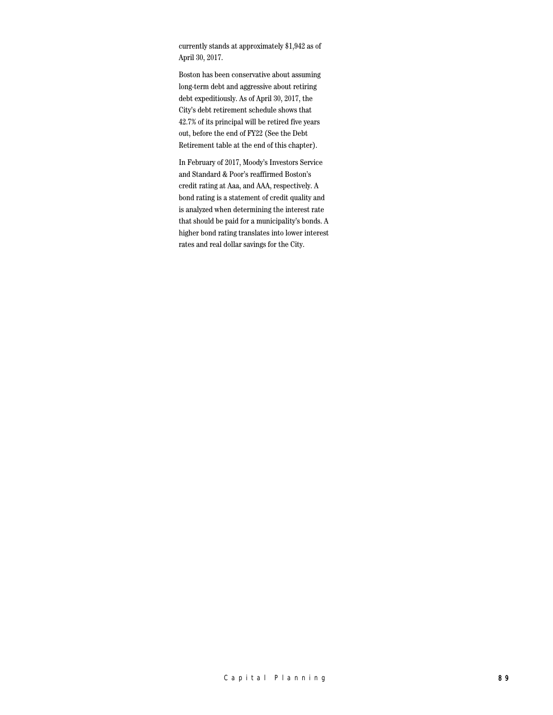currently stands at approximately \$1,942 as of April 30, 2017.

Boston has been conservative about assuming long-term debt and aggressive about retiring debt expeditiously. As of April 30, 2017, the City's debt retirement schedule shows that 42.7% of its principal will be retired five years out, before the end of FY22 (See the Debt Retirement table at the end of this chapter).

In February of 2017, Moody's Investors Service and Standard & Poor's reaffirmed Boston's credit rating at Aaa, and AAA, respectively. A bond rating is a statement of credit quality and is analyzed when determining the interest rate that should be paid for a municipality's bonds. A higher bond rating translates into lower interest rates and real dollar savings for the City.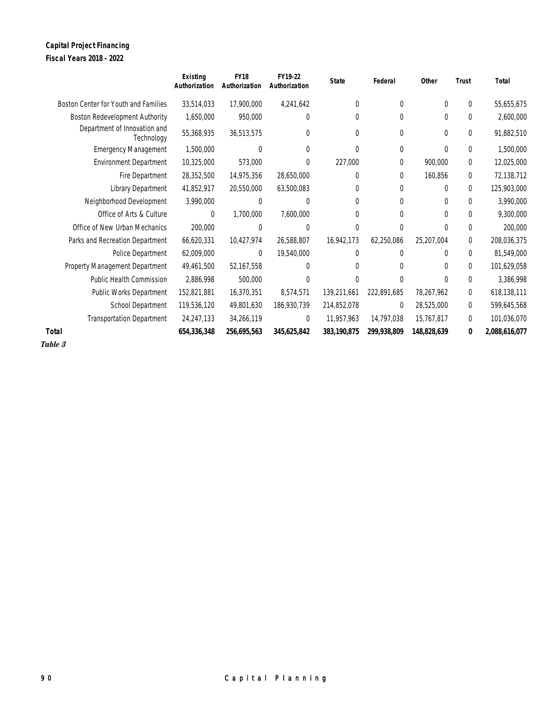## **Capital Project Financing Fiscal Years 2018 - 2022**

|                                            | <b>Existing</b><br>Authorization | <b>FY18</b><br>Authorization | FY19-22<br>Authorization | <b>State</b> | Federal     | Other       | <b>Trust</b>   | Total         |
|--------------------------------------------|----------------------------------|------------------------------|--------------------------|--------------|-------------|-------------|----------------|---------------|
| Boston Center for Youth and Families       | 33,514,033                       | 17,900,000                   | 4,241,642                | 0            | 0           | $\Omega$    | 0              | 55,655,675    |
| Boston Redevelopment Authority             | 1,650,000                        | 950,000                      | $\theta$                 | $\Omega$     | 0           | 0           | 0              | 2,600,000     |
| Department of Innovation and<br>Technology | 55,368,935                       | 36,513,575                   | $\Omega$                 | $\Omega$     | $\theta$    | 0           | $\mathbf{0}$   | 91,882,510    |
| <b>Emergency Management</b>                | 1,500,000                        | $\Omega$                     | $\Omega$                 | $\Omega$     | $\Omega$    | $\Omega$    | $\Omega$       | 1,500,000     |
| <b>Environment Department</b>              | 10,325,000                       | 573,000                      | $\Omega$                 | 227,000      | $\Omega$    | 900,000     | 0              | 12,025,000    |
| Fire Department                            | 28,352,500                       | 14,975,356                   | 28,650,000               | 0            | $\Omega$    | 160,856     | $\overline{0}$ | 72,138,712    |
| Library Department                         | 41,852,917                       | 20,550,000                   | 63,500,083               | $\Omega$     | 0           | $\Omega$    | 0              | 125,903,000   |
| Neighborhood Development                   | 3,990,000                        | $\Omega$                     | 0                        | $\Omega$     | $\Omega$    | $\Omega$    | 0              | 3,990,000     |
| Office of Arts & Culture                   | $\theta$                         | 1,700,000                    | 7,600,000                | 0            | $\Omega$    | 0           | $\Omega$       | 9,300,000     |
| Office of New Urban Mechanics              | 200,000                          | $\Omega$                     | $\Omega$                 | $\Omega$     | $\Omega$    | 0           | $\Omega$       | 200,000       |
| Parks and Recreation Department            | 66,620,331                       | 10,427,974                   | 26,588,807               | 16,942,173   | 62,250,086  | 25,207,004  | 0              | 208,036,375   |
| Police Department                          | 62,009,000                       | 0                            | 19,540,000               | $\Omega$     | $\Omega$    | 0           | $\Omega$       | 81,549,000    |
| Property Management Department             | 49,461,500                       | 52,167,558                   | $\overline{0}$           | 0            | $\Omega$    | $\Omega$    | $\mathbf 0$    | 101,629,058   |
| Public Health Commission                   | 2,886,998                        | 500,000                      | $\Omega$                 | U            | $\Omega$    | 0           | $\Omega$       | 3,386,998     |
| Public Works Department                    | 152,821,881                      | 16,370,351                   | 8,574,571                | 139,211,661  | 222,891,685 | 78,267,962  | 0              | 618,138,111   |
| School Department                          | 119,536,120                      | 49,801,630                   | 186,930,739              | 214,852,078  | $\Omega$    | 28,525,000  | $\overline{0}$ | 599,645,568   |
| <b>Transportation Department</b>           | 24,247,133                       | 34,266,119                   | $\theta$                 | 11,957,963   | 14,797,038  | 15,767,817  | $\mathbf 0$    | 101,036,070   |
| Total                                      | 654,336,348                      | 256,695,563                  | 345,625,842              | 383,190,875  | 299,938,809 | 148,828,639 | 0              | 2,088,616,077 |

*Table 3*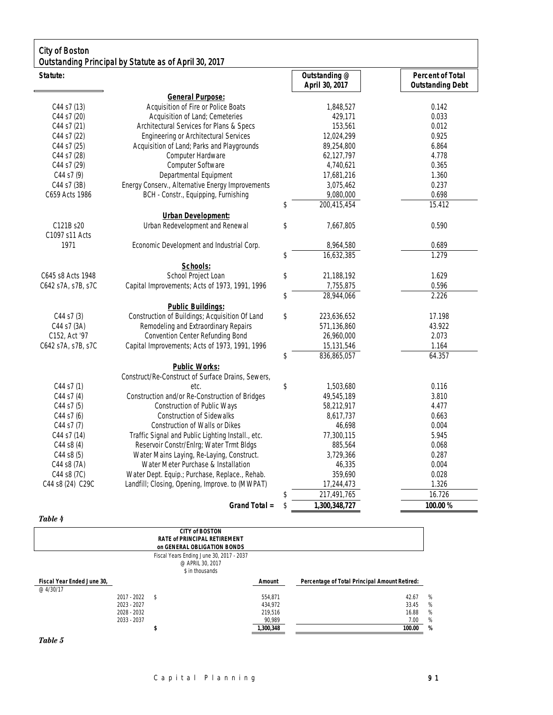| <b>City of Boston</b>       | Outstanding Principal by Statute as of April 30, 2017 |                            |                                 |                                                    |
|-----------------------------|-------------------------------------------------------|----------------------------|---------------------------------|----------------------------------------------------|
| Statute:                    |                                                       |                            | Outstanding @<br>April 30, 2017 | <b>Percent of Total</b><br><b>Outstanding Debt</b> |
|                             | <b>General Purpose:</b>                               |                            |                                 |                                                    |
| C44 s7 (13)                 | Acquisition of Fire or Police Boats                   |                            | 1,848,527                       | 0.142                                              |
| C44 s7 (20)                 | Acquisition of Land; Cemeteries                       |                            | 429,171                         | 0.033                                              |
| C44 s7 (21)                 | Architectural Services for Plans & Specs              |                            | 153,561                         | 0.012                                              |
| C44 s7 (22)                 | <b>Engineering or Architectural Services</b>          |                            | 12,024,299                      | 0.925                                              |
| C44 s7 (25)                 | Acquisition of Land; Parks and Playgrounds            |                            | 89,254,800                      | 6.864                                              |
| C44 s7 (28)                 | Computer Hardware                                     |                            | 62,127,797                      | 4.778                                              |
| C44 s7 (29)                 | Computer Software                                     |                            | 4,740,621                       | 0.365                                              |
| $C44$ s7 $(9)$              | Departmental Equipment                                |                            | 17,681,216                      | 1.360                                              |
| C44 s7 (3B)                 | Energy Conserv., Alternative Energy Improvements      |                            | 3,075,462                       | 0.237                                              |
| C659 Acts 1986              | BCH - Constr., Equipping, Furnishing                  |                            | 9,080,000                       | 0.698                                              |
|                             |                                                       | \$                         | 200,415,454                     | 15.412                                             |
|                             | <b>Urban Development:</b>                             |                            |                                 |                                                    |
| C121B s20<br>C1097 s11 Acts | Urban Redevelopment and Renewal                       | \$                         | 7,667,805                       | 0.590                                              |
| 1971                        | Economic Development and Industrial Corp.             |                            | 8,964,580                       | 0.689                                              |
|                             |                                                       | \$                         | 16,632,385                      | 1.279                                              |
|                             | Schools:                                              |                            |                                 |                                                    |
| C645 s8 Acts 1948           | School Project Loan                                   | \$                         | 21,188,192                      | 1.629                                              |
| C642 s7A, s7B, s7C          | Capital Improvements; Acts of 1973, 1991, 1996        |                            | 7,755,875                       | 0.596                                              |
|                             |                                                       | \$                         | 28,944,066                      | 2.226                                              |
|                             | <b>Public Buildings:</b>                              |                            |                                 |                                                    |
| C44 s7 (3)                  | Construction of Buildings; Acquisition Of Land        | \$                         | 223,636,652                     | 17.198                                             |
| C44 s7 (3A)                 | Remodeling and Extraordinary Repairs                  |                            | 571,136,860                     | 43.922                                             |
| C152, Act '97               | Convention Center Refunding Bond                      |                            | 26,960,000                      | 2.073                                              |
| C642 s7A, s7B, s7C          | Capital Improvements; Acts of 1973, 1991, 1996        |                            | 15,131,546                      | 1.164                                              |
|                             |                                                       | \$                         | 836,865,057                     | 64.357                                             |
|                             | <b>Public Works:</b>                                  |                            |                                 |                                                    |
|                             | Construct/Re-Construct of Surface Drains, Sewers,     |                            |                                 |                                                    |
| C44 s7 (1)                  | etc.                                                  | $\boldsymbol{\mathsf{\$}}$ | 1,503,680                       | 0.116                                              |
| C44 s7 (4)                  | Construction and/or Re-Construction of Bridges        |                            | 49,545,189                      | 3.810                                              |
| C44 s7 (5)                  | Construction of Public Ways                           |                            | 58,212,917                      | 4.477                                              |
| $C44$ s7 $(6)$              | <b>Construction of Sidewalks</b>                      |                            | 8,617,737                       | 0.663                                              |
| C44 s7 (7)                  | Construction of Walls or Dikes                        |                            | 46,698                          | 0.004                                              |
| C44 s7 (14)                 | Traffic Signal and Public Lighting Install., etc.     |                            | 77,300,115                      | 5.945                                              |
| $C44$ s8 $(4)$              | Reservoir Constr/Enlrg; Water Trmt Bldgs              |                            | 885,564                         | 0.068                                              |
| C44 s8 (5)                  | Water Mains Laying, Re-Laying, Construct.             |                            | 3,729,366                       | 0.287                                              |
| C44 s8 (7A)                 | Water Meter Purchase & Installation                   |                            | 46,335                          | 0.004                                              |
| C44 s8 (7C)                 | Water Dept. Equip.; Purchase, Replace., Rehab.        |                            | 359,690                         | 0.028                                              |
| C44 s8 (24) C29C            | Landfill; Closing, Opening, Improve. to (MWPAT)       |                            | 17,244,473                      | 1.326                                              |
|                             |                                                       | \$                         | 217,491,765                     | 16.726                                             |
|                             |                                                       |                            |                                 |                                                    |
|                             | Grand Total =                                         | \$                         | 1,300,348,727                   | 100.00 %                                           |

## *Table 4*

|                            |               | <b>CITY of BOSTON</b><br><b>RATE of PRINCIPAL RETIREMENT</b><br>on GENERAL OBLIGATION BONDS |           |                                               |   |
|----------------------------|---------------|---------------------------------------------------------------------------------------------|-----------|-----------------------------------------------|---|
|                            |               | Fiscal Years Ending June 30, 2017 - 2037<br>@ APRIL 30, 2017<br>\$ in thousands             |           |                                               |   |
| Fiscal Year Ended June 30, |               |                                                                                             | Amount    | Percentage of Total Principal Amount Retired: |   |
| @ 4/30/17                  |               |                                                                                             |           |                                               |   |
|                            | $2017 - 2022$ | - \$                                                                                        | 554.871   | 42.67                                         | % |
|                            | 2023 - 2027   |                                                                                             | 434.972   | 33.45                                         | % |
|                            | 2028 - 2032   |                                                                                             | 219.516   | 16.88                                         | % |
|                            | 2033 - 2037   |                                                                                             | 90,989    | 7.00                                          | % |
|                            |               |                                                                                             | 1,300,348 | 100.00                                        | % |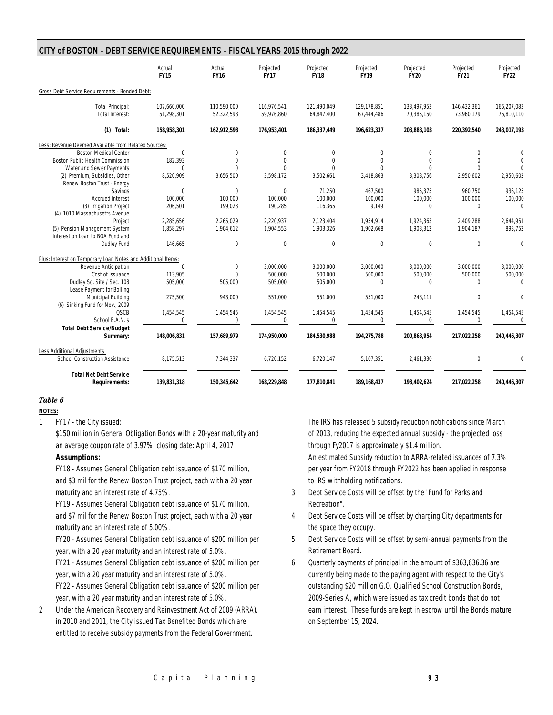| CITY of BOSTON - DEBT SERVICE REQUIREMENTS - FISCAL YEARS 2015 through 2022 |                           |                           |                           |                           |                           |                           |                           |                           |  |
|-----------------------------------------------------------------------------|---------------------------|---------------------------|---------------------------|---------------------------|---------------------------|---------------------------|---------------------------|---------------------------|--|
|                                                                             | Actual<br><b>FY15</b>     | Actual<br><b>FY16</b>     | Projected<br><b>FY17</b>  | Projected<br><b>FY18</b>  | Projected<br><b>FY19</b>  | Projected<br><b>FY20</b>  | Projected<br><b>FY21</b>  | Projected<br><b>FY22</b>  |  |
| Gross Debt Service Requirements - Bonded Debt:                              |                           |                           |                           |                           |                           |                           |                           |                           |  |
| <b>Total Principal:</b><br>Total Interest:                                  | 107,660,000<br>51.298.301 | 110,590,000<br>52,322,598 | 116,976,541<br>59,976,860 | 121,490,049<br>64,847,400 | 129,178,851<br>67,444,486 | 133,497,953<br>70,385,150 | 146,432,361<br>73,960,179 | 166,207,083<br>76.810.110 |  |
| $(1)$ Total:                                                                | 158,958,301               | 162,912,598               | 176,953,401               | 186,337,449               | 196,623,337               | 203,883,103               | 220,392,540               | 243,017,193               |  |
| Less: Revenue Deemed Available from Related Sources:                        |                           |                           |                           |                           |                           |                           |                           |                           |  |
| <b>Boston Medical Center</b>                                                | 0                         | $\mathbf{0}$              | $\mathbf{0}$              | $\mathbf{0}$              | $\mathbf{0}$              | $\mathbf{0}$              | $\mathbf{0}$              | $\mathbf{0}$              |  |
| Boston Public Health Commission                                             | 182,393                   | $\mathbf{0}$              | $\mathbf{0}$              | $\bf 0$                   | $\mathbf{0}$              | $\mathbf{0}$              | $\mathbf{0}$              | $\mathbf 0$               |  |
| Water and Sewer Payments                                                    | $\Omega$                  | $\theta$                  | $\theta$                  | $\theta$                  | $\theta$                  | $\Omega$                  | $\theta$                  | $\Omega$                  |  |
| (2) Premium, Subsidies, Other<br>Renew Boston Trust - Energy                | 8,520,909                 | 3,656,500                 | 3,598,172                 | 3,502,661                 | 3,418,863                 | 3,308,756                 | 2,950,602                 | 2,950,602                 |  |
|                                                                             | $\mathbf{0}$              | $\mathbf{0}$              | $\mathbf 0$               | 71,250                    | 467,500                   | 985,375                   | 960,750                   | 936,125                   |  |
| Savings                                                                     |                           |                           |                           |                           |                           |                           |                           |                           |  |
| <b>Accrued Interest</b>                                                     | 100,000                   | 100,000                   | 100,000                   | 100,000                   | 100,000                   | 100,000                   | 100,000                   | 100,000                   |  |
| (3) Irrigation Project<br>(4) 1010 Massachusetts Avenue                     | 206,501                   | 199,023                   | 190,285                   | 116,365                   | 9,149                     | $\mathbb O$               | $\mathbf{0}$              | $\mathbf 0$               |  |
| Project                                                                     | 2.285.656                 | 2.265.029                 | 2.220.937                 | 2,123,404                 | 1,954,914                 | 1,924,363                 | 2.409.288                 | 2,644,951                 |  |
| (5) Pension Management System<br>Interest on Loan to BOA Fund and           | 1,858,297                 | 1,904,612                 | 1,904,553                 | 1,903,326                 | 1,902,668                 | 1,903,312                 | 1,904,187                 | 893,752                   |  |
| Dudley Fund                                                                 | 146,665                   | $\boldsymbol{0}$          | $\boldsymbol{0}$          | $\boldsymbol{0}$          | $\boldsymbol{0}$          | $\mathbb O$               | $\mathbf 0$               | $\mathbf 0$               |  |
| Plus: Interest on Temporary Loan Notes and Additional Items:                |                           |                           |                           |                           |                           |                           |                           |                           |  |
| Revenue Anticipation                                                        | $\mathbf{0}$              | $\mathbf 0$               | 3,000,000                 | 3,000,000                 | 3,000,000                 | 3,000,000                 | 3,000,000                 | 3,000,000                 |  |
| Cost of Issuance                                                            | 113.905                   | $\mathbf{0}$              | 500.000                   | 500,000                   | 500,000                   | 500,000                   | 500,000                   | 500,000                   |  |
| Dudley Sq. Site / Sec. 108<br>Lease Payment for Bolling                     | 505,000                   | 505,000                   | 505,000                   | 505,000                   | $\mathbf{0}$              | $\mathbb O$               | $\mathbf{0}$              | $\mathbf{0}$              |  |
| Municipal Building<br>(6) Sinking Fund for Nov., 2009                       | 275,500                   | 943,000                   | 551,000                   | 551,000                   | 551,000                   | 248,111                   | $\mathbf{0}$              | $\Omega$                  |  |
| <b>QSCB</b>                                                                 | 1,454,545                 | 1,454,545                 | 1,454,545                 | 1,454,545                 | 1,454,545                 | 1,454,545                 | 1,454,545                 | 1,454,545                 |  |
| School B.A.N.'s                                                             | $\Omega$                  | $\mathbf{0}$              | $\theta$                  | $\mathbf{0}$              | $\theta$                  | $\mathbf{0}$              | $\theta$                  | $\Omega$                  |  |
| <b>Total Debt Service/Budget</b>                                            |                           |                           |                           |                           |                           |                           |                           |                           |  |
| Summary:                                                                    | 148,006,831               | 157,689,979               | 174,950,000               | 184,530,988               | 194,275,788               | 200,863,954               | 217,022,258               | 240,446,307               |  |
| Less Additional Adjustments:                                                |                           |                           |                           |                           |                           |                           |                           |                           |  |
| <b>School Construction Assistance</b>                                       | 8,175,513                 | 7,344,337                 | 6,720,152                 | 6,720,147                 | 5,107,351                 | 2,461,330                 | $\mathbf{0}$              | $\theta$                  |  |
| <b>Total Net Debt Service</b><br><b>Requirements:</b>                       | 139,831,318               | 150,345,642               | 168,229,848               | 177,810,841               | 189,168,437               | 198,402,624               | 217,022,258               | 240,446,307               |  |

# *Table 6*

**NOTES:**

1 FY17 - the City issued:

\$150 million in General Obligation Bonds with a 20-year maturity and an average coupon rate of 3.97%; closing date: April 4, 2017

## **Assumptions:**

FY18 - Assumes General Obligation debt issuance of \$170 million, and \$3 mil for the Renew Boston Trust project, each with a 20 year maturity and an interest rate of 4.75%.

FY19 - Assumes General Obligation debt issuance of \$170 million, and \$7 mil for the Renew Boston Trust project, each with a 20 year maturity and an interest rate of 5.00%.

FY20 - Assumes General Obligation debt issuance of \$200 million per year, with a 20 year maturity and an interest rate of 5.0%.

FY21 - Assumes General Obligation debt issuance of \$200 million per year, with a 20 year maturity and an interest rate of 5.0%.

FY22 - Assumes General Obligation debt issuance of \$200 million per year, with a 20 year maturity and an interest rate of 5.0%.

2 Under the American Recovery and Reinvestment Act of 2009 (ARRA), in 2010 and 2011, the City issued Tax Benefited Bonds which are entitled to receive subsidy payments from the Federal Government.

The IRS has released 5 subsidy reduction notifications since March of 2013, reducing the expected annual subsidy - the projected loss through Fy2017 is approximately \$1.4 million.

An estimated Subsidy reduction to ARRA-related issuances of 7.3% per year from FY2018 through FY2022 has been applied in response to IRS withholding notifications.

- 3 Debt Service Costs will be offset by the "Fund for Parks and Recreation".
- 4 Debt Service Costs will be offset by charging City departments for the space they occupy.
- 5 Debt Service Costs will be offset by semi-annual payments from the Retirement Board.
- 6 Quarterly payments of principal in the amount of \$363,636.36 are currently being made to the paying agent with respect to the City's outstanding \$20 million G.O. Qualified School Construction Bonds, 2009-Series A, which were issued as tax credit bonds that do not earn interest. These funds are kept in escrow until the Bonds mature on September 15, 2024.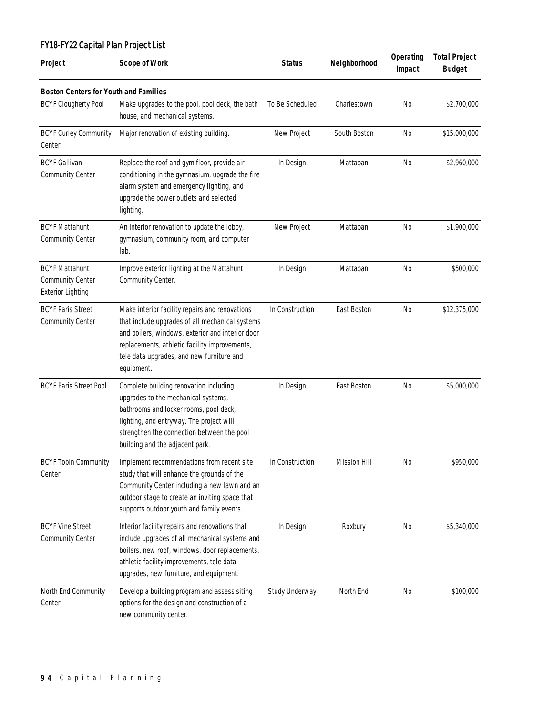# FY18-FY22 Capital Plan Project List

| Project                                                                      | <b>Scope of Work</b>                                                                                                                                                                                                                                              | <b>Status</b>   | Neighborhood        | Operating<br>Impact | <b>Total Project</b><br><b>Budget</b> |
|------------------------------------------------------------------------------|-------------------------------------------------------------------------------------------------------------------------------------------------------------------------------------------------------------------------------------------------------------------|-----------------|---------------------|---------------------|---------------------------------------|
| <b>Boston Centers for Youth and Families</b>                                 |                                                                                                                                                                                                                                                                   |                 |                     |                     |                                       |
| <b>BCYF Clougherty Pool</b>                                                  | Make upgrades to the pool, pool deck, the bath<br>house, and mechanical systems.                                                                                                                                                                                  | To Be Scheduled | Charlestown         | <b>No</b>           | \$2,700,000                           |
| <b>BCYF Curley Community</b><br>Center                                       | Major renovation of existing building.                                                                                                                                                                                                                            | New Project     | South Boston        | <b>No</b>           | \$15,000,000                          |
| <b>BCYF Gallivan</b><br>Community Center                                     | Replace the roof and gym floor, provide air<br>conditioning in the gymnasium, upgrade the fire<br>alarm system and emergency lighting, and<br>upgrade the power outlets and selected<br>lighting.                                                                 | In Design       | Mattapan            | No                  | \$2,960,000                           |
| <b>BCYF Mattahunt</b><br><b>Community Center</b>                             | An interior renovation to update the lobby,<br>gymnasium, community room, and computer<br>lab.                                                                                                                                                                    | New Project     | Mattapan            | <b>No</b>           | \$1,900,000                           |
| <b>BCYF Mattahunt</b><br><b>Community Center</b><br><b>Exterior Lighting</b> | Improve exterior lighting at the Mattahunt<br>Community Center.                                                                                                                                                                                                   | In Design       | Mattapan            | <b>No</b>           | \$500,000                             |
| <b>BCYF Paris Street</b><br><b>Community Center</b>                          | Make interior facility repairs and renovations<br>that include upgrades of all mechanical systems<br>and boilers, windows, exterior and interior door<br>replacements, athletic facility improvements,<br>tele data upgrades, and new furniture and<br>equipment. | In Construction | East Boston         | <b>No</b>           | \$12,375,000                          |
| <b>BCYF Paris Street Pool</b>                                                | Complete building renovation including<br>upgrades to the mechanical systems,<br>bathrooms and locker rooms, pool deck,<br>lighting, and entryway. The project will<br>strengthen the connection between the pool<br>building and the adjacent park.              | In Design       | East Boston         | <b>No</b>           | \$5,000,000                           |
| <b>BCYF Tobin Community</b><br>Center                                        | Implement recommendations from recent site<br>study that will enhance the grounds of the<br>Community Center including a new lawn and an<br>outdoor stage to create an inviting space that<br>supports outdoor youth and family events.                           | In Construction | <b>Mission Hill</b> | N <sub>0</sub>      | \$950,000                             |
| <b>BCYF Vine Street</b><br><b>Community Center</b>                           | Interior facility repairs and renovations that<br>include upgrades of all mechanical systems and<br>boilers, new roof, windows, door replacements,<br>athletic facility improvements, tele data<br>upgrades, new furniture, and equipment.                        | In Design       | Roxbury             | <b>No</b>           | \$5,340,000                           |
| North End Community<br>Center                                                | Develop a building program and assess siting<br>options for the design and construction of a<br>new community center.                                                                                                                                             | Study Underway  | North End           | N <sub>0</sub>      | \$100,000                             |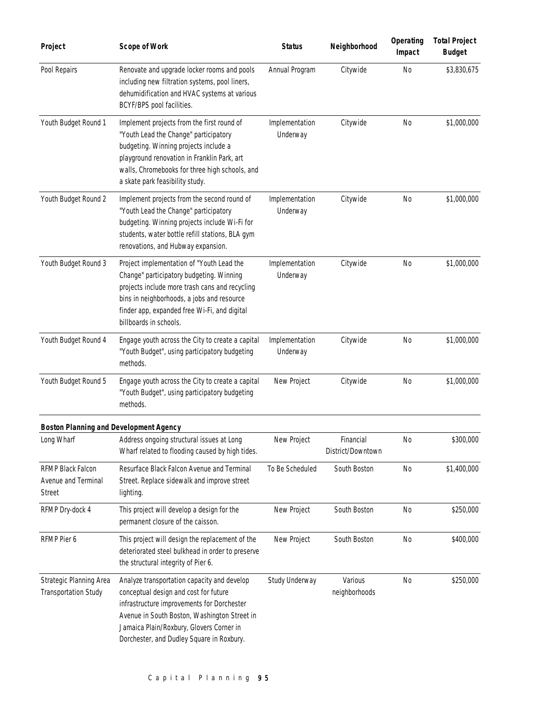| Project                                                   | <b>Scope of Work</b>                                                                                                                                                                                                                                                        | <b>Status</b>              | Neighborhood                   | Operating<br>Impact | <b>Total Project</b><br><b>Budget</b> |
|-----------------------------------------------------------|-----------------------------------------------------------------------------------------------------------------------------------------------------------------------------------------------------------------------------------------------------------------------------|----------------------------|--------------------------------|---------------------|---------------------------------------|
| Pool Repairs                                              | Renovate and upgrade locker rooms and pools<br>including new filtration systems, pool liners,<br>dehumidification and HVAC systems at various<br>BCYF/BPS pool facilities.                                                                                                  | Annual Program             | Citywide                       | <b>No</b>           | \$3,830,675                           |
| Youth Budget Round 1                                      | Implement projects from the first round of<br>"Youth Lead the Change" participatory<br>budgeting. Winning projects include a<br>playground renovation in Franklin Park, art<br>walls, Chromebooks for three high schools, and<br>a skate park feasibility study.            | Implementation<br>Underway | Citywide                       | <b>No</b>           | \$1,000,000                           |
| Youth Budget Round 2                                      | Implement projects from the second round of<br>"Youth Lead the Change" participatory<br>budgeting. Winning projects include Wi-Fi for<br>students, water bottle refill stations, BLA gym<br>renovations, and Hubway expansion.                                              | Implementation<br>Underway | Citywide                       | N <sub>0</sub>      | \$1,000,000                           |
| Youth Budget Round 3                                      | Project implementation of "Youth Lead the<br>Change" participatory budgeting. Winning<br>projects include more trash cans and recycling<br>bins in neighborhoods, a jobs and resource<br>finder app, expanded free Wi-Fi, and digital<br>billboards in schools.             | Implementation<br>Underway | Citywide                       | No                  | \$1,000,000                           |
| Youth Budget Round 4                                      | Engage youth across the City to create a capital<br>"Youth Budget", using participatory budgeting<br>methods.                                                                                                                                                               | Implementation<br>Underway | Citywide                       | N <sub>0</sub>      | \$1,000,000                           |
| Youth Budget Round 5                                      | Engage youth across the City to create a capital<br>"Youth Budget", using participatory budgeting<br>methods.                                                                                                                                                               | New Project                | Citywide                       | No                  | \$1,000,000                           |
| <b>Boston Planning and Development Agency</b>             |                                                                                                                                                                                                                                                                             |                            |                                |                     |                                       |
| Long Wharf                                                | Address ongoing structural issues at Long<br>Wharf related to flooding caused by high tides.                                                                                                                                                                                | New Project                | Financial<br>District/Downtown | No                  | \$300,000                             |
| RFMP Black Falcon<br>Avenue and Terminal<br><b>Street</b> | Resurface Black Falcon Avenue and Terminal<br>Street. Replace sidewalk and improve street<br>lighting.                                                                                                                                                                      | To Be Scheduled            | South Boston                   | N <sub>0</sub>      | \$1,400,000                           |
| RFMP Dry-dock 4                                           | This project will develop a design for the<br>permanent closure of the caisson.                                                                                                                                                                                             | New Project                | South Boston                   | No                  | \$250,000                             |
| RFMP Pier 6                                               | This project will design the replacement of the<br>deteriorated steel bulkhead in order to preserve<br>the structural integrity of Pier 6.                                                                                                                                  | New Project                | South Boston                   | <b>No</b>           | \$400,000                             |
| Strategic Planning Area<br><b>Transportation Study</b>    | Analyze transportation capacity and develop<br>conceptual design and cost for future<br>infrastructure improvements for Dorchester<br>Avenue in South Boston, Washington Street in<br>Jamaica Plain/Roxbury, Glovers Corner in<br>Dorchester, and Dudley Square in Roxbury. | Study Underway             | Various<br>neighborhoods       | <b>No</b>           | \$250,000                             |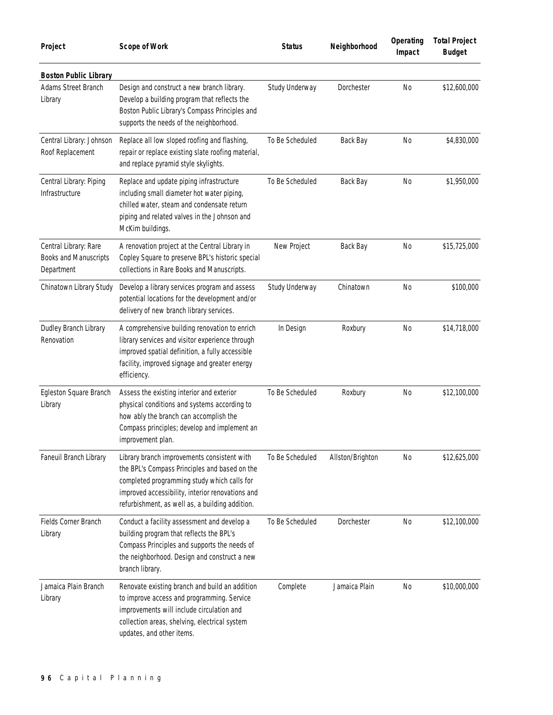| Project                                                             | <b>Scope of Work</b>                                                                                                                                                                                                                               | <b>Status</b>   | Neighborhood     | Operating<br>Impact | <b>Total Project</b><br><b>Budget</b> |
|---------------------------------------------------------------------|----------------------------------------------------------------------------------------------------------------------------------------------------------------------------------------------------------------------------------------------------|-----------------|------------------|---------------------|---------------------------------------|
| <b>Boston Public Library</b>                                        |                                                                                                                                                                                                                                                    |                 |                  |                     |                                       |
| Adams Street Branch<br>Library                                      | Design and construct a new branch library.<br>Develop a building program that reflects the<br>Boston Public Library's Compass Principles and<br>supports the needs of the neighborhood.                                                            | Study Underway  | Dorchester       | <b>No</b>           | \$12,600,000                          |
| Central Library: Johnson<br>Roof Replacement                        | Replace all low sloped roofing and flashing,<br>repair or replace existing slate roofing material,<br>and replace pyramid style skylights.                                                                                                         | To Be Scheduled | Back Bay         | <b>No</b>           | \$4,830,000                           |
| Central Library: Piping<br>Infrastructure                           | Replace and update piping infrastructure<br>including small diameter hot water piping,<br>chilled water, steam and condensate return<br>piping and related valves in the Johnson and<br>McKim buildings.                                           | To Be Scheduled | Back Bay         | N <sub>0</sub>      | \$1,950,000                           |
| Central Library: Rare<br><b>Books and Manuscripts</b><br>Department | A renovation project at the Central Library in<br>Copley Square to preserve BPL's historic special<br>collections in Rare Books and Manuscripts.                                                                                                   | New Project     | Back Bay         | <b>No</b>           | \$15,725,000                          |
| Chinatown Library Study                                             | Develop a library services program and assess<br>potential locations for the development and/or<br>delivery of new branch library services.                                                                                                        | Study Underway  | Chinatown        | N <sub>0</sub>      | \$100,000                             |
| Dudley Branch Library<br>Renovation                                 | A comprehensive building renovation to enrich<br>library services and visitor experience through<br>improved spatial definition, a fully accessible<br>facility, improved signage and greater energy<br>efficiency.                                | In Design       | Roxbury          | No                  | \$14,718,000                          |
| Egleston Square Branch<br>Library                                   | Assess the existing interior and exterior<br>physical conditions and systems according to<br>how ably the branch can accomplish the<br>Compass principles; develop and implement an<br>improvement plan.                                           | To Be Scheduled | Roxbury          | N <sub>0</sub>      | \$12,100,000                          |
| Faneuil Branch Library                                              | Library branch improvements consistent with<br>the BPL's Compass Principles and based on the<br>completed programming study which calls for<br>improved accessibility, interior renovations and<br>refurbishment, as well as, a building addition. | To Be Scheduled | Allston/Brighton | <b>No</b>           | \$12,625,000                          |
| Fields Corner Branch<br>Library                                     | Conduct a facility assessment and develop a<br>building program that reflects the BPL's<br>Compass Principles and supports the needs of<br>the neighborhood. Design and construct a new<br>branch library.                                         | To Be Scheduled | Dorchester       | <b>No</b>           | \$12,100,000                          |
| Jamaica Plain Branch<br>Library                                     | Renovate existing branch and build an addition<br>to improve access and programming. Service<br>improvements will include circulation and<br>collection areas, shelving, electrical system<br>updates, and other items.                            | Complete        | Jamaica Plain    | <b>No</b>           | \$10,000,000                          |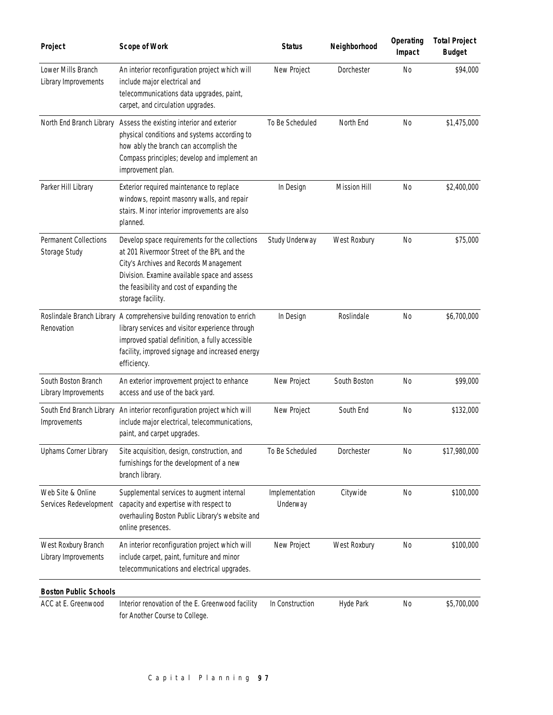| Project                                       | <b>Scope of Work</b>                                                                                                                                                                                                                                     | <b>Status</b>              | Neighborhood        | Operating<br>Impact | <b>Total Project</b><br><b>Budget</b> |
|-----------------------------------------------|----------------------------------------------------------------------------------------------------------------------------------------------------------------------------------------------------------------------------------------------------------|----------------------------|---------------------|---------------------|---------------------------------------|
| Lower Mills Branch<br>Library Improvements    | An interior reconfiguration project which will<br>include major electrical and<br>telecommunications data upgrades, paint,<br>carpet, and circulation upgrades.                                                                                          | New Project                | Dorchester          | <b>No</b>           | \$94,000                              |
| North End Branch Library                      | Assess the existing interior and exterior<br>physical conditions and systems according to<br>how ably the branch can accomplish the<br>Compass principles; develop and implement an<br>improvement plan.                                                 | To Be Scheduled            | North End           | No                  | \$1,475,000                           |
| Parker Hill Library                           | Exterior required maintenance to replace<br>windows, repoint masonry walls, and repair<br>stairs. Minor interior improvements are also<br>planned.                                                                                                       | In Design                  | <b>Mission Hill</b> | <b>No</b>           | \$2,400,000                           |
| <b>Permanent Collections</b><br>Storage Study | Develop space requirements for the collections<br>at 201 Rivermoor Street of the BPL and the<br>City's Archives and Records Management<br>Division. Examine available space and assess<br>the feasibility and cost of expanding the<br>storage facility. | Study Underway             | West Roxbury        | <b>No</b>           | \$75,000                              |
| Renovation                                    | Roslindale Branch Library A comprehensive building renovation to enrich<br>library services and visitor experience through<br>improved spatial definition, a fully accessible<br>facility, improved signage and increased energy<br>efficiency.          | In Design                  | Roslindale          | <b>No</b>           | \$6,700,000                           |
| South Boston Branch<br>Library Improvements   | An exterior improvement project to enhance<br>access and use of the back yard.                                                                                                                                                                           | New Project                | South Boston        | <b>No</b>           | \$99,000                              |
| South End Branch Library<br>Improvements      | An interior reconfiguration project which will<br>include major electrical, telecommunications,<br>paint, and carpet upgrades.                                                                                                                           | New Project                | South End           | N <sub>0</sub>      | \$132,000                             |
| Uphams Corner Library                         | Site acquisition, design, construction, and<br>furnishings for the development of a new<br>branch library.                                                                                                                                               | To Be Scheduled            | Dorchester          | N <sub>0</sub>      | \$17,980,000                          |
| Web Site & Online<br>Services Redevelopment   | Supplemental services to augment internal<br>capacity and expertise with respect to<br>overhauling Boston Public Library's website and<br>online presences.                                                                                              | Implementation<br>Underway | Citywide            | N <sub>0</sub>      | \$100,000                             |
| West Roxbury Branch<br>Library Improvements   | An interior reconfiguration project which will<br>include carpet, paint, furniture and minor<br>telecommunications and electrical upgrades.                                                                                                              | New Project                | West Roxbury        | <b>No</b>           | \$100,000                             |
| <b>Boston Public Schools</b>                  |                                                                                                                                                                                                                                                          |                            |                     |                     |                                       |
| ACC at E. Greenwood                           | Interior renovation of the E. Greenwood facility<br>for Another Course to College.                                                                                                                                                                       | In Construction            | Hyde Park           | No                  | \$5,700,000                           |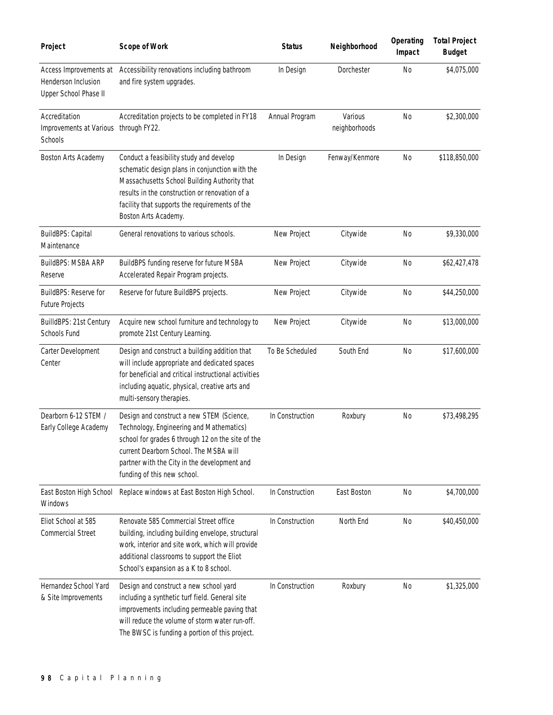| Project                                                                | <b>Scope of Work</b>                                                                                                                                                                                                                                                  | <b>Status</b>   | Neighborhood             | Operating<br>Impact | <b>Total Project</b><br><b>Budget</b> |
|------------------------------------------------------------------------|-----------------------------------------------------------------------------------------------------------------------------------------------------------------------------------------------------------------------------------------------------------------------|-----------------|--------------------------|---------------------|---------------------------------------|
| Access Improvements at<br>Henderson Inclusion<br>Upper School Phase II | Accessibility renovations including bathroom<br>and fire system upgrades.                                                                                                                                                                                             | In Design       | Dorchester               | <b>No</b>           | \$4,075,000                           |
| Accreditation<br>Improvements at Various<br>Schools                    | Accreditation projects to be completed in FY18<br>through FY22.                                                                                                                                                                                                       | Annual Program  | Various<br>neighborhoods | <b>No</b>           | \$2,300,000                           |
| Boston Arts Academy                                                    | Conduct a feasibility study and develop<br>schematic design plans in conjunction with the<br>Massachusetts School Building Authority that<br>results in the construction or renovation of a<br>facility that supports the requirements of the<br>Boston Arts Academy. | In Design       | Fenway/Kenmore           | <b>No</b>           | \$118,850,000                         |
| BuildBPS: Capital<br>Maintenance                                       | General renovations to various schools.                                                                                                                                                                                                                               | New Project     | Citywide                 | <b>No</b>           | \$9,330,000                           |
| BuildBPS: MSBA ARP<br>Reserve                                          | BuildBPS funding reserve for future MSBA<br>Accelerated Repair Program projects.                                                                                                                                                                                      | New Project     | Citywide                 | <b>No</b>           | \$62,427,478                          |
| BuildBPS: Reserve for<br>Future Projects                               | Reserve for future BuildBPS projects.                                                                                                                                                                                                                                 | New Project     | Citywide                 | N <sub>0</sub>      | \$44,250,000                          |
| BuilldBPS: 21st Century<br>Schools Fund                                | Acquire new school furniture and technology to<br>promote 21st Century Learning.                                                                                                                                                                                      | New Project     | Citywide                 | <b>No</b>           | \$13,000,000                          |
| Carter Development<br>Center                                           | Design and construct a building addition that<br>will include appropriate and dedicated spaces<br>for beneficial and critical instructional activities<br>including aquatic, physical, creative arts and<br>multi-sensory therapies.                                  | To Be Scheduled | South End                | N <sub>0</sub>      | \$17,600,000                          |
| Dearborn 6-12 STEM /<br>Early College Academy                          | Design and construct a new STEM (Science,<br>Technology, Engineering and Mathematics)<br>school for grades 6 through 12 on the site of the<br>current Dearborn School. The MSBA will<br>partner with the City in the development and<br>funding of this new school.   | In Construction | Roxbury                  | <b>No</b>           | \$73,498,295                          |
| East Boston High School<br>Windows                                     | Replace windows at East Boston High School.                                                                                                                                                                                                                           | In Construction | East Boston              | <b>No</b>           | \$4,700,000                           |
| Eliot School at 585<br><b>Commercial Street</b>                        | Renovate 585 Commercial Street office<br>building, including building envelope, structural<br>work, interior and site work, which will provide<br>additional classrooms to support the Eliot<br>School's expansion as a K to 8 school.                                | In Construction | North End                | <b>No</b>           | \$40,450,000                          |
| Hernandez School Yard<br>& Site Improvements                           | Design and construct a new school yard<br>including a synthetic turf field. General site<br>improvements including permeable paving that<br>will reduce the volume of storm water run-off.<br>The BWSC is funding a portion of this project.                          | In Construction | Roxbury                  | No                  | \$1,325,000                           |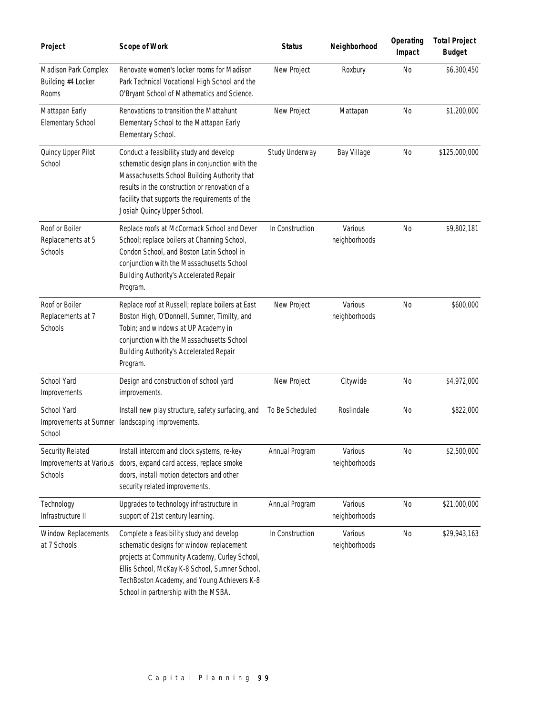| Project                                                | <b>Scope of Work</b>                                                                                                                                                                                                                                                           | <b>Status</b>   | Neighborhood             | Operating<br>Impact | <b>Total Project</b><br><b>Budget</b> |
|--------------------------------------------------------|--------------------------------------------------------------------------------------------------------------------------------------------------------------------------------------------------------------------------------------------------------------------------------|-----------------|--------------------------|---------------------|---------------------------------------|
| Madison Park Complex<br>Building #4 Locker<br>Rooms    | Renovate women's locker rooms for Madison<br>Park Technical Vocational High School and the<br>O'Bryant School of Mathematics and Science.                                                                                                                                      | New Project     | Roxbury                  | No                  | \$6,300,450                           |
| Mattapan Early<br><b>Elementary School</b>             | Renovations to transition the Mattahunt<br>Elementary School to the Mattapan Early<br>Elementary School.                                                                                                                                                                       | New Project     | Mattapan                 | <b>No</b>           | \$1,200,000                           |
| Quincy Upper Pilot<br>School                           | Conduct a feasibility study and develop<br>schematic design plans in conjunction with the<br>Massachusetts School Building Authority that<br>results in the construction or renovation of a<br>facility that supports the requirements of the<br>Josiah Quincy Upper School.   | Study Underway  | Bay Village              | <b>No</b>           | \$125,000,000                         |
| Roof or Boiler<br>Replacements at 5<br>Schools         | Replace roofs at McCormack School and Dever<br>School; replace boilers at Channing School,<br>Condon School, and Boston Latin School in<br>conjunction with the Massachusetts School<br>Building Authority's Accelerated Repair<br>Program.                                    | In Construction | Various<br>neighborhoods | <b>No</b>           | \$9,802,181                           |
| Roof or Boiler<br>Replacements at 7<br>Schools         | Replace roof at Russell; replace boilers at East<br>Boston High, O'Donnell, Sumner, Timilty, and<br>Tobin; and windows at UP Academy in<br>conjunction with the Massachusetts School<br>Building Authority's Accelerated Repair<br>Program.                                    | New Project     | Various<br>neighborhoods | <b>No</b>           | \$600,000                             |
| School Yard<br>Improvements                            | Design and construction of school yard<br>improvements.                                                                                                                                                                                                                        | New Project     | Citywide                 | <b>No</b>           | \$4,972,000                           |
| School Yard<br>Improvements at Sumner<br>School        | Install new play structure, safety surfacing, and<br>landscaping improvements.                                                                                                                                                                                                 | To Be Scheduled | Roslindale               | No                  | \$822,000                             |
| Security Related<br>Improvements at Various<br>Schools | Install intercom and clock systems, re-key<br>doors, expand card access, replace smoke<br>doors, install motion detectors and other<br>security related improvements.                                                                                                          | Annual Program  | Various<br>neighborhoods | <b>No</b>           | \$2,500,000                           |
| Technology<br>Infrastructure II                        | Upgrades to technology infrastructure in<br>support of 21st century learning.                                                                                                                                                                                                  | Annual Program  | Various<br>neighborhoods | No                  | \$21,000,000                          |
| Window Replacements<br>at 7 Schools                    | Complete a feasibility study and develop<br>schematic designs for window replacement<br>projects at Community Academy, Curley School,<br>Ellis School, McKay K-8 School, Sumner School,<br>TechBoston Academy, and Young Achievers K-8<br>School in partnership with the MSBA. | In Construction | Various<br>neighborhoods | No                  | \$29,943,163                          |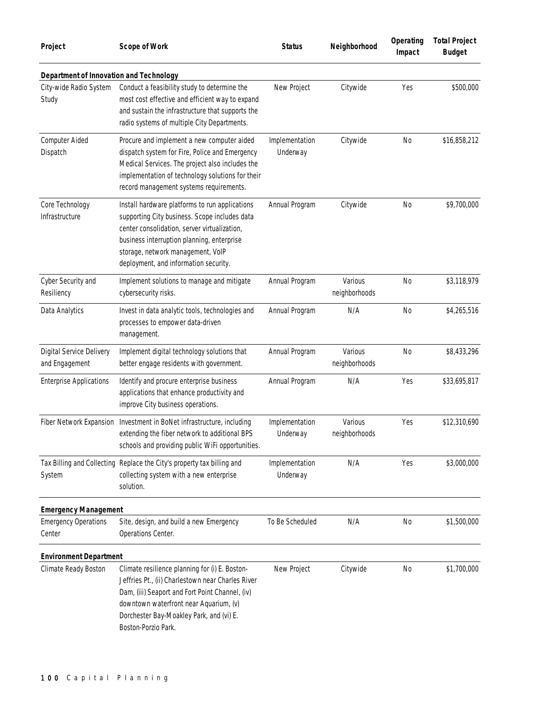| Project                                    | <b>Scope of Work</b>                                                                                                                                                                                                                                                        | <b>Status</b>              | Neighborhood             | Operating<br>Impact | <b>Total Project</b><br><b>Budget</b> |
|--------------------------------------------|-----------------------------------------------------------------------------------------------------------------------------------------------------------------------------------------------------------------------------------------------------------------------------|----------------------------|--------------------------|---------------------|---------------------------------------|
| Department of Innovation and Technology    |                                                                                                                                                                                                                                                                             |                            |                          |                     |                                       |
| City-wide Radio System<br>Study            | Conduct a feasibility study to determine the<br>most cost effective and efficient way to expand<br>and sustain the infrastructure that supports the<br>radio systems of multiple City Departments.                                                                          | New Project                | Citywide                 | Yes                 | \$500,000                             |
| <b>Computer Aided</b><br>Dispatch          | Procure and implement a new computer aided<br>dispatch system for Fire, Police and Emergency<br>Medical Services. The project also includes the<br>implementation of technology solutions for their<br>record management systems requirements.                              | Implementation<br>Underway | Citywide                 | <b>No</b>           | \$16,858,212                          |
| Core Technology<br>Infrastructure          | Install hardware platforms to run applications<br>supporting City business. Scope includes data<br>center consolidation, server virtualization,<br>business interruption planning, enterprise<br>storage, network management, VoIP<br>deployment, and information security. | Annual Program             | Citywide                 | N <sub>0</sub>      | \$9,700,000                           |
| Cyber Security and<br>Resiliency           | Implement solutions to manage and mitigate<br>cybersecurity risks.                                                                                                                                                                                                          | Annual Program             | Various<br>neighborhoods | <b>No</b>           | \$3,118,979                           |
| Data Analytics                             | Invest in data analytic tools, technologies and<br>processes to empower data-driven<br>management.                                                                                                                                                                          | Annual Program             | N/A                      | N <sub>0</sub>      | \$4,265,516                           |
| Digital Service Delivery<br>and Engagement | Implement digital technology solutions that<br>better engage residents with government.                                                                                                                                                                                     | Annual Program             | Various<br>neighborhoods | N <sub>0</sub>      | \$8,433,296                           |
| <b>Enterprise Applications</b>             | Identify and procure enterprise business<br>applications that enhance productivity and<br>improve City business operations.                                                                                                                                                 | Annual Program             | N/A                      | Yes                 | \$33,695,817                          |
| Fiber Network Expansion                    | Investment in BoNet infrastructure, including<br>extending the fiber network to additional BPS<br>schools and providing public WiFi opportunities.                                                                                                                          | Implementation<br>Underway | Various<br>neighborhoods | Yes                 | \$12,310,690                          |
| System                                     | Tax Billing and Collecting Replace the City's property tax billing and<br>collecting system with a new enterprise<br>solution.                                                                                                                                              | Implementation<br>Underway | N/A                      | Yes                 | \$3,000,000                           |
| <b>Emergency Management</b>                |                                                                                                                                                                                                                                                                             |                            |                          |                     |                                       |
| <b>Emergency Operations</b><br>Center      | Site, design, and build a new Emergency<br>Operations Center.                                                                                                                                                                                                               | To Be Scheduled            | N/A                      | No                  | \$1,500,000                           |
| <b>Environment Department</b>              |                                                                                                                                                                                                                                                                             |                            |                          |                     |                                       |
| Climate Ready Boston                       | Climate resilience planning for (i) E. Boston-<br>Jeffries Pt., (ii) Charlestown near Charles River<br>Dam, (iii) Seaport and Fort Point Channel, (iv)<br>downtown waterfront near Aquarium, (v)<br>Dorchester Bay-Moakley Park, and (vi) E.<br>Boston-Porzio Park.         | New Project                | Citywide                 | N <sub>0</sub>      | \$1,700,000                           |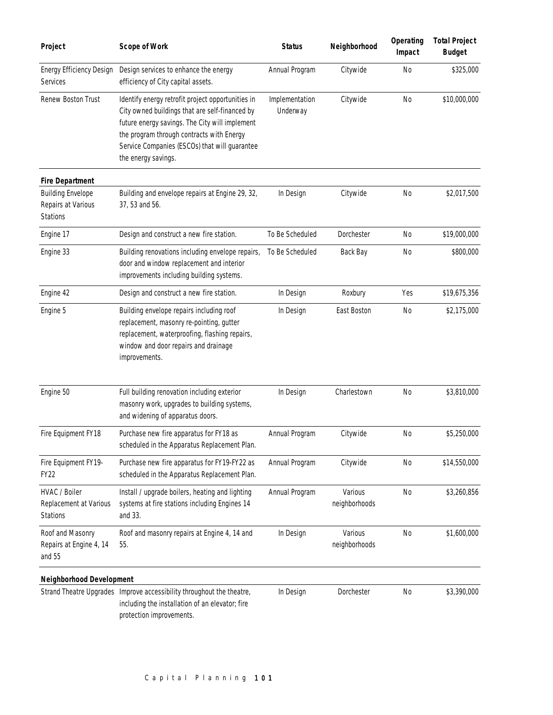| Project                                                           | <b>Scope of Work</b>                                                                                                                                                                                                                                                       | <b>Status</b>              | Neighborhood             | Operating<br>Impact | <b>Total Project</b><br><b>Budget</b> |
|-------------------------------------------------------------------|----------------------------------------------------------------------------------------------------------------------------------------------------------------------------------------------------------------------------------------------------------------------------|----------------------------|--------------------------|---------------------|---------------------------------------|
| Energy Efficiency Design<br>Services                              | Design services to enhance the energy<br>efficiency of City capital assets.                                                                                                                                                                                                | Annual Program             | Citywide                 | <b>No</b>           | \$325,000                             |
| Renew Boston Trust                                                | Identify energy retrofit project opportunities in<br>City owned buildings that are self-financed by<br>future energy savings. The City will implement<br>the program through contracts with Energy<br>Service Companies (ESCOs) that will guarantee<br>the energy savings. | Implementation<br>Underway | Citywide                 | <b>No</b>           | \$10,000,000                          |
| <b>Fire Department</b>                                            |                                                                                                                                                                                                                                                                            |                            |                          |                     |                                       |
| <b>Building Envelope</b><br>Repairs at Various<br><b>Stations</b> | Building and envelope repairs at Engine 29, 32,<br>37, 53 and 56.                                                                                                                                                                                                          | In Design                  | Citywide                 | <b>No</b>           | \$2,017,500                           |
| Engine 17                                                         | Design and construct a new fire station.                                                                                                                                                                                                                                   | To Be Scheduled            | Dorchester               | No                  | \$19,000,000                          |
| Engine 33                                                         | Building renovations including envelope repairs,<br>door and window replacement and interior<br>improvements including building systems.                                                                                                                                   | To Be Scheduled            | Back Bay                 | N <sub>0</sub>      | \$800,000                             |
| Engine 42                                                         | Design and construct a new fire station.                                                                                                                                                                                                                                   | In Design                  | Roxbury                  | Yes                 | \$19,675,356                          |
| Engine 5                                                          | Building envelope repairs including roof<br>replacement, masonry re-pointing, gutter<br>replacement, waterproofing, flashing repairs,<br>window and door repairs and drainage<br>improvements.                                                                             | In Design                  | East Boston              | <b>No</b>           | \$2,175,000                           |
| Engine 50                                                         | Full building renovation including exterior<br>masonry work, upgrades to building systems,<br>and widening of apparatus doors.                                                                                                                                             | In Design                  | Charlestown              | <b>No</b>           | \$3,810,000                           |
| Fire Equipment FY18                                               | Purchase new fire apparatus for FY18 as<br>scheduled in the Apparatus Replacement Plan.                                                                                                                                                                                    | Annual Program             | Citywide                 | <b>No</b>           | \$5,250,000                           |
| Fire Equipment FY19-<br><b>FY22</b>                               | Purchase new fire apparatus for FY19-FY22 as<br>scheduled in the Apparatus Replacement Plan.                                                                                                                                                                               | Annual Program             | Citywide                 | N <sub>0</sub>      | \$14,550,000                          |
| HVAC / Boiler<br>Replacement at Various<br><b>Stations</b>        | Install / upgrade boilers, heating and lighting<br>systems at fire stations including Engines 14<br>and 33.                                                                                                                                                                | Annual Program             | Various<br>neighborhoods | N <sub>0</sub>      | \$3,260,856                           |
| Roof and Masonry<br>Repairs at Engine 4, 14<br>and 55             | Roof and masonry repairs at Engine 4, 14 and<br>55.                                                                                                                                                                                                                        | In Design                  | Various<br>neighborhoods | <b>No</b>           | \$1,600,000                           |
| <b>Neighborhood Development</b>                                   |                                                                                                                                                                                                                                                                            |                            |                          |                     |                                       |
|                                                                   | Strand Theatre Upgrades Improve accessibility throughout the theatre,<br>including the installation of an elevator; fire<br>protection improvements.                                                                                                                       | In Design                  | Dorchester               | No                  | \$3,390,000                           |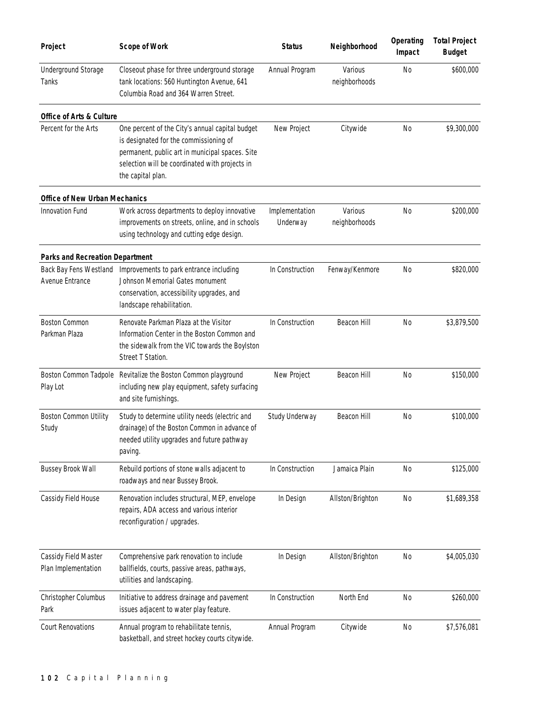| Project                                     | <b>Scope of Work</b>                                                                                                                                                                                                | <b>Status</b>              | Neighborhood             | Operating<br>Impact | <b>Total Project</b><br><b>Budget</b> |
|---------------------------------------------|---------------------------------------------------------------------------------------------------------------------------------------------------------------------------------------------------------------------|----------------------------|--------------------------|---------------------|---------------------------------------|
| Underground Storage<br>Tanks                | Closeout phase for three underground storage<br>tank locations: 560 Huntington Avenue, 641<br>Columbia Road and 364 Warren Street.                                                                                  | Annual Program             | Various<br>neighborhoods | No                  | \$600,000                             |
| <b>Office of Arts &amp; Culture</b>         |                                                                                                                                                                                                                     |                            |                          |                     |                                       |
| Percent for the Arts                        | One percent of the City's annual capital budget<br>is designated for the commissioning of<br>permanent, public art in municipal spaces. Site<br>selection will be coordinated with projects in<br>the capital plan. | New Project                | Citywide                 | No                  | \$9,300,000                           |
| <b>Office of New Urban Mechanics</b>        |                                                                                                                                                                                                                     |                            |                          |                     |                                       |
| Innovation Fund                             | Work across departments to deploy innovative<br>improvements on streets, online, and in schools<br>using technology and cutting edge design.                                                                        | Implementation<br>Underway | Various<br>neighborhoods | <b>No</b>           | \$200,000                             |
| <b>Parks and Recreation Department</b>      |                                                                                                                                                                                                                     |                            |                          |                     |                                       |
| Avenue Entrance                             | Back Bay Fens Westland Improvements to park entrance including<br>Johnson Memorial Gates monument<br>conservation, accessibility upgrades, and<br>landscape rehabilitation.                                         | In Construction            | Fenway/Kenmore           | No                  | \$820,000                             |
| <b>Boston Common</b><br>Parkman Plaza       | Renovate Parkman Plaza at the Visitor<br>Information Center in the Boston Common and<br>the sidewalk from the VIC towards the Boylston<br>Street T Station.                                                         | In Construction            | Beacon Hill              | <b>No</b>           | \$3,879,500                           |
| Play Lot                                    | Boston Common Tadpole Revitalize the Boston Common playground<br>including new play equipment, safety surfacing<br>and site furnishings.                                                                            | New Project                | Beacon Hill              | No                  | \$150,000                             |
| Boston Common Utility<br>Study              | Study to determine utility needs (electric and<br>drainage) of the Boston Common in advance of<br>needed utility upgrades and future pathway<br>paving.                                                             | Study Underway             | Beacon Hill              | <b>No</b>           | \$100,000                             |
| <b>Bussey Brook Wall</b>                    | Rebuild portions of stone walls adjacent to<br>roadways and near Bussey Brook.                                                                                                                                      | In Construction            | Jamaica Plain            | N <sub>0</sub>      | \$125,000                             |
| Cassidy Field House                         | Renovation includes structural, MEP, envelope<br>repairs, ADA access and various interior<br>reconfiguration / upgrades.                                                                                            | In Design                  | Allston/Brighton         | <b>No</b>           | \$1,689,358                           |
| Cassidy Field Master<br>Plan Implementation | Comprehensive park renovation to include<br>ballfields, courts, passive areas, pathways,<br>utilities and landscaping.                                                                                              | In Design                  | Allston/Brighton         | N <sub>0</sub>      | \$4,005,030                           |
| Christopher Columbus<br>Park                | Initiative to address drainage and pavement<br>issues adjacent to water play feature.                                                                                                                               | In Construction            | North End                | N <sub>0</sub>      | \$260,000                             |
| Court Renovations                           | Annual program to rehabilitate tennis,<br>basketball, and street hockey courts citywide.                                                                                                                            | Annual Program             | Citywide                 | N <sub>0</sub>      | \$7,576,081                           |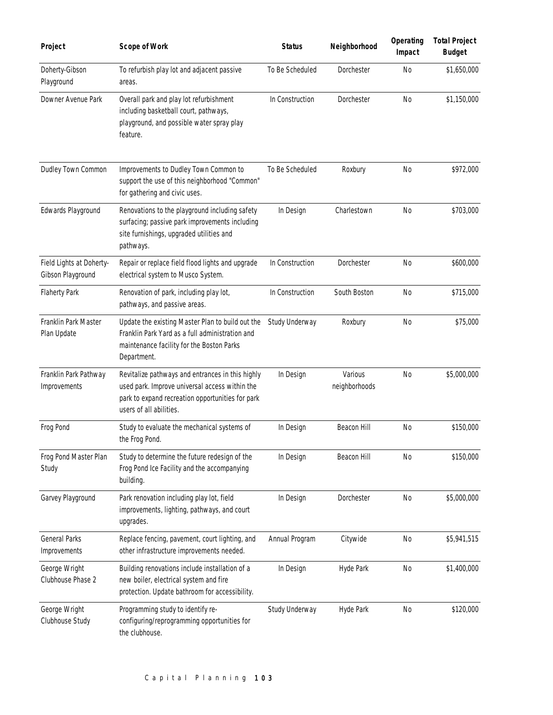| Project                                       | <b>Scope of Work</b>                                                                                                                                                              | <b>Status</b>   | Neighborhood             | Operating<br>Impact | <b>Total Project</b><br><b>Budget</b> |
|-----------------------------------------------|-----------------------------------------------------------------------------------------------------------------------------------------------------------------------------------|-----------------|--------------------------|---------------------|---------------------------------------|
| Doherty-Gibson<br>Playground                  | To refurbish play lot and adjacent passive<br>areas.                                                                                                                              | To Be Scheduled | Dorchester               | <b>No</b>           | \$1,650,000                           |
| Downer Avenue Park                            | Overall park and play lot refurbishment<br>including basketball court, pathways,<br>playground, and possible water spray play<br>feature.                                         | In Construction | Dorchester               | <b>No</b>           | \$1,150,000                           |
| Dudley Town Common                            | Improvements to Dudley Town Common to<br>support the use of this neighborhood "Common"<br>for gathering and civic uses.                                                           | To Be Scheduled | Roxbury                  | <b>No</b>           | \$972,000                             |
| Edwards Playground                            | Renovations to the playground including safety<br>surfacing; passive park improvements including<br>site furnishings, upgraded utilities and<br>pathways.                         | In Design       | Charlestown              | <b>No</b>           | \$703,000                             |
| Field Lights at Doherty-<br>Gibson Playground | Repair or replace field flood lights and upgrade<br>electrical system to Musco System.                                                                                            | In Construction | Dorchester               | <b>No</b>           | \$600,000                             |
| <b>Flaherty Park</b>                          | Renovation of park, including play lot,<br>pathways, and passive areas.                                                                                                           | In Construction | South Boston             | <b>No</b>           | \$715,000                             |
| Franklin Park Master<br>Plan Update           | Update the existing Master Plan to build out the<br>Franklin Park Yard as a full administration and<br>maintenance facility for the Boston Parks<br>Department.                   | Study Underway  | Roxbury                  | <b>No</b>           | \$75,000                              |
| Franklin Park Pathway<br>Improvements         | Revitalize pathways and entrances in this highly<br>used park. Improve universal access within the<br>park to expand recreation opportunities for park<br>users of all abilities. | In Design       | Various<br>neighborhoods | <b>No</b>           | \$5,000,000                           |
| Frog Pond                                     | Study to evaluate the mechanical systems of<br>the Frog Pond.                                                                                                                     | In Design       | Beacon Hill              | <b>No</b>           | \$150,000                             |
| Frog Pond Master Plan<br>Study                | Study to determine the future redesign of the<br>Frog Pond Ice Facility and the accompanying<br>building.                                                                         | In Design       | Beacon Hill              | N <sub>0</sub>      | \$150,000                             |
| Garvey Playground                             | Park renovation including play lot, field<br>improvements, lighting, pathways, and court<br>upgrades.                                                                             | In Design       | Dorchester               | N <sub>0</sub>      | \$5,000,000                           |
| <b>General Parks</b><br>Improvements          | Replace fencing, pavement, court lighting, and<br>other infrastructure improvements needed.                                                                                       | Annual Program  | Citywide                 | N <sub>0</sub>      | \$5,941,515                           |
| George Wright<br>Clubhouse Phase 2            | Building renovations include installation of a<br>new boiler, electrical system and fire<br>protection. Update bathroom for accessibility.                                        | In Design       | Hyde Park                | N <sub>0</sub>      | \$1,400,000                           |
| George Wright<br>Clubhouse Study              | Programming study to identify re-<br>configuring/reprogramming opportunities for<br>the clubhouse.                                                                                | Study Underway  | Hyde Park                | N <sub>0</sub>      | \$120,000                             |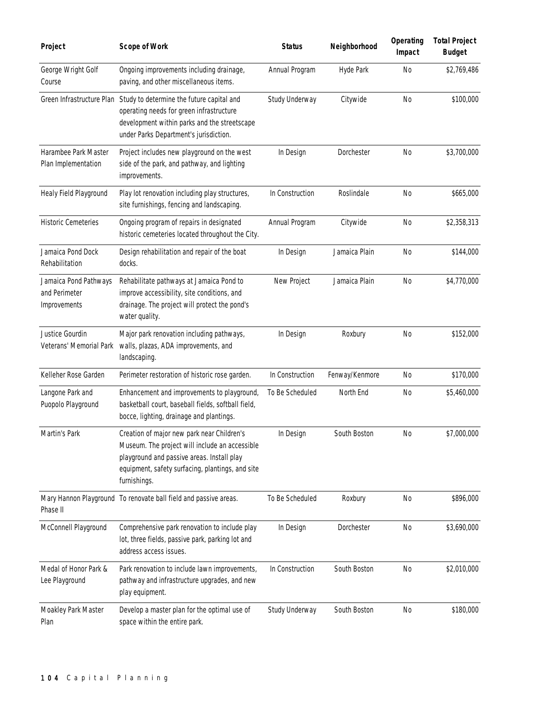| Project                                                | <b>Scope of Work</b>                                                                                                                                                                                           | <b>Status</b>   | Neighborhood   | Operating<br>Impact | <b>Total Project</b><br><b>Budget</b> |
|--------------------------------------------------------|----------------------------------------------------------------------------------------------------------------------------------------------------------------------------------------------------------------|-----------------|----------------|---------------------|---------------------------------------|
| George Wright Golf<br>Course                           | Ongoing improvements including drainage,<br>paving, and other miscellaneous items.                                                                                                                             | Annual Program  | Hyde Park      | <b>No</b>           | \$2,769,486                           |
|                                                        | Green Infrastructure Plan Study to determine the future capital and<br>operating needs for green infrastructure<br>development within parks and the streetscape<br>under Parks Department's jurisdiction.      | Study Underway  | Citywide       | <b>No</b>           | \$100,000                             |
| Harambee Park Master<br>Plan Implementation            | Project includes new playground on the west<br>side of the park, and pathway, and lighting<br>improvements.                                                                                                    | In Design       | Dorchester     | N <sub>0</sub>      | \$3,700,000                           |
| Healy Field Playground                                 | Play lot renovation including play structures,<br>site furnishings, fencing and landscaping.                                                                                                                   | In Construction | Roslindale     | N <sub>0</sub>      | \$665,000                             |
| <b>Historic Cemeteries</b>                             | Ongoing program of repairs in designated<br>historic cemeteries located throughout the City.                                                                                                                   | Annual Program  | Citywide       | N <sub>0</sub>      | \$2,358,313                           |
| Jamaica Pond Dock<br>Rehabilitation                    | Design rehabilitation and repair of the boat<br>docks.                                                                                                                                                         | In Design       | Jamaica Plain  | No                  | \$144,000                             |
| Jamaica Pond Pathways<br>and Perimeter<br>Improvements | Rehabilitate pathways at Jamaica Pond to<br>improve accessibility, site conditions, and<br>drainage. The project will protect the pond's<br>water quality.                                                     | New Project     | Jamaica Plain  | N <sub>0</sub>      | \$4,770,000                           |
| Justice Gourdin<br>Veterans' Memorial Park             | Major park renovation including pathways,<br>walls, plazas, ADA improvements, and<br>landscaping.                                                                                                              | In Design       | Roxbury        | No                  | \$152,000                             |
| Kelleher Rose Garden                                   | Perimeter restoration of historic rose garden.                                                                                                                                                                 | In Construction | Fenway/Kenmore | No                  | \$170,000                             |
| Langone Park and<br>Puopolo Playground                 | Enhancement and improvements to playground,<br>basketball court, baseball fields, softball field,<br>bocce, lighting, drainage and plantings.                                                                  | To Be Scheduled | North End      | N <sub>0</sub>      | \$5,460,000                           |
| Martin's Park                                          | Creation of major new park near Children's<br>Museum. The project will include an accessible<br>playground and passive areas. Install play<br>equipment, safety surfacing, plantings, and site<br>furnishings. | In Design       | South Boston   | <b>No</b>           | \$7,000,000                           |
| Phase II                                               | Mary Hannon Playground To renovate ball field and passive areas.                                                                                                                                               | To Be Scheduled | Roxbury        | <b>No</b>           | \$896,000                             |
| McConnell Playground                                   | Comprehensive park renovation to include play<br>lot, three fields, passive park, parking lot and<br>address access issues.                                                                                    | In Design       | Dorchester     | <b>No</b>           | \$3,690,000                           |
| Medal of Honor Park &<br>Lee Playground                | Park renovation to include lawn improvements,<br>pathway and infrastructure upgrades, and new<br>play equipment.                                                                                               | In Construction | South Boston   | <b>No</b>           | \$2,010,000                           |
| Moakley Park Master<br>Plan                            | Develop a master plan for the optimal use of<br>space within the entire park.                                                                                                                                  | Study Underway  | South Boston   | <b>No</b>           | \$180,000                             |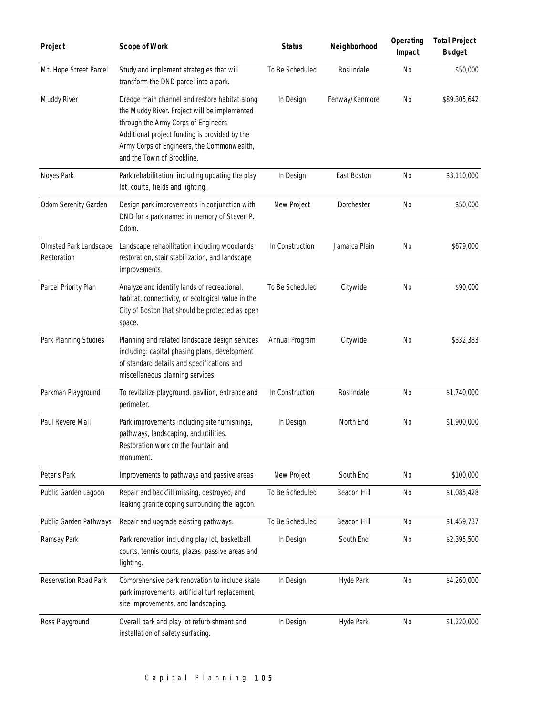| Project                               | <b>Scope of Work</b>                                                                                                                                                                                                                                               | <b>Status</b>   | Neighborhood   | Operating<br>Impact | <b>Total Project</b><br><b>Budget</b> |
|---------------------------------------|--------------------------------------------------------------------------------------------------------------------------------------------------------------------------------------------------------------------------------------------------------------------|-----------------|----------------|---------------------|---------------------------------------|
| Mt. Hope Street Parcel                | Study and implement strategies that will<br>transform the DND parcel into a park.                                                                                                                                                                                  | To Be Scheduled | Roslindale     | <b>No</b>           | \$50,000                              |
| Muddy River                           | Dredge main channel and restore habitat along<br>the Muddy River. Project will be implemented<br>through the Army Corps of Engineers.<br>Additional project funding is provided by the<br>Army Corps of Engineers, the Commonwealth,<br>and the Town of Brookline. | In Design       | Fenway/Kenmore | <b>No</b>           | \$89,305,642                          |
| Noyes Park                            | Park rehabilitation, including updating the play<br>lot, courts, fields and lighting.                                                                                                                                                                              | In Design       | East Boston    | <b>No</b>           | \$3,110,000                           |
| Odom Serenity Garden                  | Design park improvements in conjunction with<br>DND for a park named in memory of Steven P.<br>Odom.                                                                                                                                                               | New Project     | Dorchester     | <b>No</b>           | \$50,000                              |
| Olmsted Park Landscape<br>Restoration | Landscape rehabilitation including woodlands<br>restoration, stair stabilization, and landscape<br>improvements.                                                                                                                                                   | In Construction | Jamaica Plain  | N <sub>0</sub>      | \$679,000                             |
| Parcel Priority Plan                  | Analyze and identify lands of recreational,<br>habitat, connectivity, or ecological value in the<br>City of Boston that should be protected as open<br>space.                                                                                                      | To Be Scheduled | Citywide       | <b>No</b>           | \$90,000                              |
| Park Planning Studies                 | Planning and related landscape design services<br>including: capital phasing plans, development<br>of standard details and specifications and<br>miscellaneous planning services.                                                                                  | Annual Program  | Citywide       | N <sub>0</sub>      | \$332,383                             |
| Parkman Playground                    | To revitalize playground, pavilion, entrance and<br>perimeter.                                                                                                                                                                                                     | In Construction | Roslindale     | <b>No</b>           | \$1,740,000                           |
| Paul Revere Mall                      | Park improvements including site furnishings,<br>pathways, landscaping, and utilities.<br>Restoration work on the fountain and<br>monument.                                                                                                                        | In Design       | North End      | No                  | \$1,900,000                           |
| Peter's Park                          | Improvements to pathways and passive areas                                                                                                                                                                                                                         | New Project     | South End      | <b>No</b>           | \$100,000                             |
| Public Garden Lagoon                  | Repair and backfill missing, destroyed, and<br>leaking granite coping surrounding the lagoon.                                                                                                                                                                      | To Be Scheduled | Beacon Hill    | No                  | \$1,085,428                           |
| Public Garden Pathways                | Repair and upgrade existing pathways.                                                                                                                                                                                                                              | To Be Scheduled | Beacon Hill    | <b>No</b>           | \$1,459,737                           |
| Ramsay Park                           | Park renovation including play lot, basketball<br>courts, tennis courts, plazas, passive areas and<br>lighting.                                                                                                                                                    | In Design       | South End      | No                  | \$2,395,500                           |
| Reservation Road Park                 | Comprehensive park renovation to include skate<br>park improvements, artificial turf replacement,<br>site improvements, and landscaping.                                                                                                                           | In Design       | Hyde Park      | <b>No</b>           | \$4,260,000                           |
| Ross Playground                       | Overall park and play lot refurbishment and<br>installation of safety surfacing.                                                                                                                                                                                   | In Design       | Hyde Park      | No                  | \$1,220,000                           |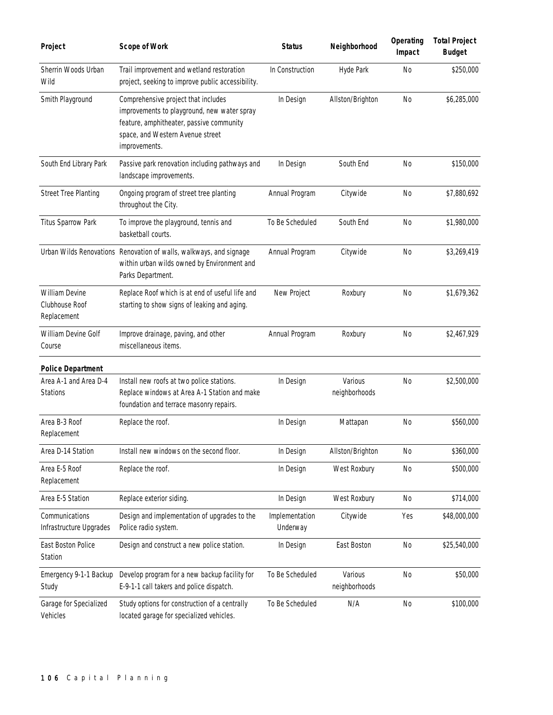| Project                                                | <b>Scope of Work</b>                                                                                                                                                                | <b>Status</b>              | Neighborhood             | Operating<br>Impact | <b>Total Project</b><br><b>Budget</b> |
|--------------------------------------------------------|-------------------------------------------------------------------------------------------------------------------------------------------------------------------------------------|----------------------------|--------------------------|---------------------|---------------------------------------|
| Sherrin Woods Urban<br>Wild                            | Trail improvement and wetland restoration<br>project, seeking to improve public accessibility.                                                                                      | In Construction            | Hyde Park                | <b>No</b>           | \$250,000                             |
| Smith Playground                                       | Comprehensive project that includes<br>improvements to playground, new water spray<br>feature, amphitheater, passive community<br>space, and Western Avenue street<br>improvements. | In Design                  | Allston/Brighton         | <b>No</b>           | \$6,285,000                           |
| South End Library Park                                 | Passive park renovation including pathways and<br>landscape improvements.                                                                                                           | In Design                  | South End                | N <sub>0</sub>      | \$150,000                             |
| <b>Street Tree Planting</b>                            | Ongoing program of street tree planting<br>throughout the City.                                                                                                                     | Annual Program             | Citywide                 | <b>No</b>           | \$7,880,692                           |
| <b>Titus Sparrow Park</b>                              | To improve the playground, tennis and<br>basketball courts.                                                                                                                         | To Be Scheduled            | South End                | N <sub>0</sub>      | \$1,980,000                           |
|                                                        | Urban Wilds Renovations Renovation of walls, walkways, and signage<br>within urban wilds owned by Environment and<br>Parks Department.                                              | Annual Program             | Citywide                 | <b>No</b>           | \$3,269,419                           |
| <b>William Devine</b><br>Clubhouse Roof<br>Replacement | Replace Roof which is at end of useful life and<br>starting to show signs of leaking and aging.                                                                                     | New Project                | Roxbury                  | N <sub>0</sub>      | \$1,679,362                           |
| William Devine Golf<br>Course                          | Improve drainage, paving, and other<br>miscellaneous items.                                                                                                                         | Annual Program             | Roxbury                  | <b>No</b>           | \$2,467,929                           |
| <b>Police Department</b>                               |                                                                                                                                                                                     |                            |                          |                     |                                       |
| Area A-1 and Area D-4<br><b>Stations</b>               | Install new roofs at two police stations.<br>Replace windows at Area A-1 Station and make<br>foundation and terrace masonry repairs.                                                | In Design                  | Various<br>neighborhoods | <b>No</b>           | \$2,500,000                           |
| Area B-3 Roof<br>Replacement                           | Replace the roof.                                                                                                                                                                   | In Design                  | Mattapan                 | No                  | \$560,000                             |
| Area D-14 Station                                      | Install new windows on the second floor.                                                                                                                                            | In Design                  | Allston/Brighton         | No                  | \$360,000                             |
| Area E-5 Roof<br>Replacement                           | Replace the roof.                                                                                                                                                                   | In Design                  | West Roxbury             | No                  | \$500,000                             |
| Area E-5 Station                                       | Replace exterior siding.                                                                                                                                                            | In Design                  | West Roxbury             | N <sub>0</sub>      | \$714,000                             |
| Communications<br>Infrastructure Upgrades              | Design and implementation of upgrades to the<br>Police radio system.                                                                                                                | Implementation<br>Underway | Citywide                 | Yes                 | \$48,000,000                          |
| East Boston Police<br>Station                          | Design and construct a new police station.                                                                                                                                          | In Design                  | East Boston              | No                  | \$25,540,000                          |
| Emergency 9-1-1 Backup<br>Study                        | Develop program for a new backup facility for<br>E-9-1-1 call takers and police dispatch.                                                                                           | To Be Scheduled            | Various<br>neighborhoods | N <sub>0</sub>      | \$50,000                              |
| Garage for Specialized<br>Vehicles                     | Study options for construction of a centrally<br>located garage for specialized vehicles.                                                                                           | To Be Scheduled            | N/A                      | <b>No</b>           | \$100,000                             |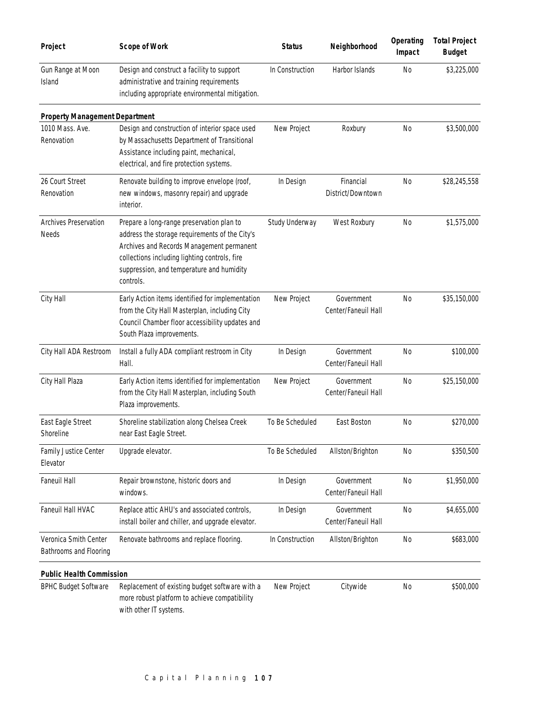| Project                                         | <b>Scope of Work</b>                                                                                                                                                                                                                                | <b>Status</b>   | Neighborhood                      | Operating<br>Impact | <b>Total Project</b><br><b>Budget</b> |
|-------------------------------------------------|-----------------------------------------------------------------------------------------------------------------------------------------------------------------------------------------------------------------------------------------------------|-----------------|-----------------------------------|---------------------|---------------------------------------|
| Gun Range at Moon<br>Island                     | Design and construct a facility to support<br>administrative and training requirements<br>including appropriate environmental mitigation.                                                                                                           | In Construction | Harbor Islands                    | <b>No</b>           | \$3,225,000                           |
| <b>Property Management Department</b>           |                                                                                                                                                                                                                                                     |                 |                                   |                     |                                       |
| 1010 Mass. Ave.<br>Renovation                   | Design and construction of interior space used<br>by Massachusetts Department of Transitional<br>Assistance including paint, mechanical,<br>electrical, and fire protection systems.                                                                | New Project     | Roxbury                           | N <sub>0</sub>      | \$3,500,000                           |
| 26 Court Street<br>Renovation                   | Renovate building to improve envelope (roof,<br>new windows, masonry repair) and upgrade<br>interior.                                                                                                                                               | In Design       | Financial<br>District/Downtown    | <b>No</b>           | \$28,245,558                          |
| Archives Preservation<br>Needs                  | Prepare a long-range preservation plan to<br>address the storage requirements of the City's<br>Archives and Records Management permanent<br>collections including lighting controls, fire<br>suppression, and temperature and humidity<br>controls. | Study Underway  | West Roxbury                      | No                  | \$1,575,000                           |
| City Hall                                       | Early Action items identified for implementation<br>from the City Hall Masterplan, including City<br>Council Chamber floor accessibility updates and<br>South Plaza improvements.                                                                   | New Project     | Government<br>Center/Faneuil Hall | N <sub>0</sub>      | \$35,150,000                          |
| City Hall ADA Restroom                          | Install a fully ADA compliant restroom in City<br>Hall.                                                                                                                                                                                             | In Design       | Government<br>Center/Faneuil Hall | <b>No</b>           | \$100,000                             |
| City Hall Plaza                                 | Early Action items identified for implementation<br>from the City Hall Masterplan, including South<br>Plaza improvements.                                                                                                                           | New Project     | Government<br>Center/Faneuil Hall | <b>No</b>           | \$25,150,000                          |
| East Eagle Street<br>Shoreline                  | Shoreline stabilization along Chelsea Creek<br>near East Eagle Street.                                                                                                                                                                              | To Be Scheduled | East Boston                       | No                  | \$270,000                             |
| Family Justice Center<br>Elevator               | Upgrade elevator.                                                                                                                                                                                                                                   | To Be Scheduled | Allston/Brighton                  | N <sub>0</sub>      | \$350,500                             |
| Faneuil Hall                                    | Repair brownstone, historic doors and<br>windows.                                                                                                                                                                                                   | In Design       | Government<br>Center/Faneuil Hall | <b>No</b>           | \$1,950,000                           |
| Faneuil Hall HVAC                               | Replace attic AHU's and associated controls,<br>install boiler and chiller, and upgrade elevator.                                                                                                                                                   | In Design       | Government<br>Center/Faneuil Hall | N <sub>0</sub>      | \$4,655,000                           |
| Veronica Smith Center<br>Bathrooms and Flooring | Renovate bathrooms and replace flooring.                                                                                                                                                                                                            | In Construction | Allston/Brighton                  | No                  | \$683,000                             |
| <b>Public Health Commission</b>                 |                                                                                                                                                                                                                                                     |                 |                                   |                     |                                       |
| <b>BPHC Budget Software</b>                     | Replacement of existing budget software with a<br>more robust platform to achieve compatibility<br>with other IT systems.                                                                                                                           | New Project     | Citywide                          | N <sub>0</sub>      | \$500,000                             |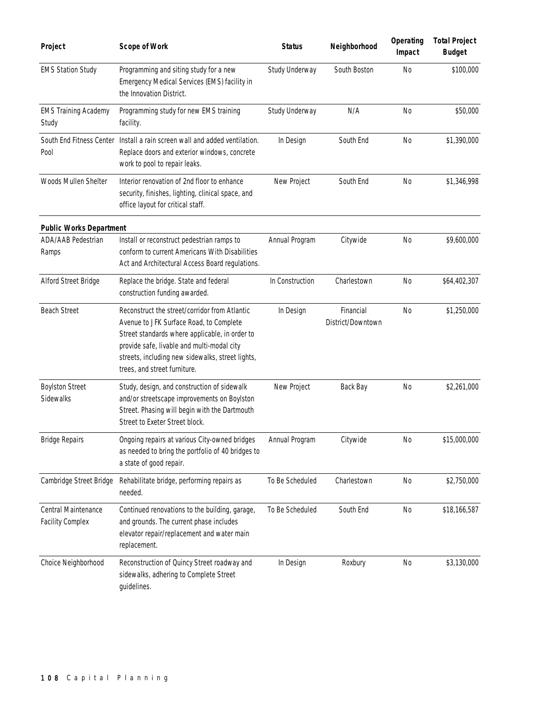| Project                                        | <b>Scope of Work</b>                                                                                                                                                                                                                                                         | <b>Status</b>   | Neighborhood                   | Operating<br>Impact | <b>Total Project</b><br><b>Budget</b> |
|------------------------------------------------|------------------------------------------------------------------------------------------------------------------------------------------------------------------------------------------------------------------------------------------------------------------------------|-----------------|--------------------------------|---------------------|---------------------------------------|
| <b>EMS Station Study</b>                       | Programming and siting study for a new<br>Emergency Medical Services (EMS) facility in<br>the Innovation District.                                                                                                                                                           | Study Underway  | South Boston                   | <b>No</b>           | \$100,000                             |
| <b>EMS Training Academy</b><br>Study           | Programming study for new EMS training<br>facility.                                                                                                                                                                                                                          | Study Underway  | N/A                            | <b>No</b>           | \$50,000                              |
| South End Fitness Center<br>Pool               | Install a rain screen wall and added ventilation.<br>Replace doors and exterior windows, concrete<br>work to pool to repair leaks.                                                                                                                                           | In Design       | South End                      | <b>No</b>           | \$1,390,000                           |
| Woods Mullen Shelter                           | Interior renovation of 2nd floor to enhance<br>security, finishes, lighting, clinical space, and<br>office layout for critical staff.                                                                                                                                        | New Project     | South End                      | <b>No</b>           | \$1,346,998                           |
| <b>Public Works Department</b>                 |                                                                                                                                                                                                                                                                              |                 |                                |                     |                                       |
| ADA/AAB Pedestrian<br>Ramps                    | Install or reconstruct pedestrian ramps to<br>conform to current Americans With Disabilities<br>Act and Architectural Access Board regulations.                                                                                                                              | Annual Program  | Citywide                       | <b>No</b>           | \$9,600,000                           |
| Alford Street Bridge                           | Replace the bridge. State and federal<br>construction funding awarded.                                                                                                                                                                                                       | In Construction | Charlestown                    | No                  | \$64,402,307                          |
| <b>Beach Street</b>                            | Reconstruct the street/corridor from Atlantic<br>Avenue to JFK Surface Road, to Complete<br>Street standards where applicable, in order to<br>provide safe, livable and multi-modal city<br>streets, including new sidewalks, street lights,<br>trees, and street furniture. | In Design       | Financial<br>District/Downtown | N <sub>0</sub>      | \$1,250,000                           |
| <b>Boylston Street</b><br>Sidewalks            | Study, design, and construction of sidewalk<br>and/or streetscape improvements on Boylston<br>Street. Phasing will begin with the Dartmouth<br>Street to Exeter Street block.                                                                                                | New Project     | Back Bay                       | <b>No</b>           | \$2,261,000                           |
| <b>Bridge Repairs</b>                          | Ongoing repairs at various City-owned bridges<br>as needed to bring the portfolio of 40 bridges to<br>a state of good repair.                                                                                                                                                | Annual Program  | Citywide                       | No.                 | \$15,000,000                          |
| Cambridge Street Bridge                        | Rehabilitate bridge, performing repairs as<br>needed.                                                                                                                                                                                                                        | To Be Scheduled | Charlestown                    | <b>No</b>           | \$2,750,000                           |
| Central Maintenance<br><b>Facility Complex</b> | Continued renovations to the building, garage,<br>and grounds. The current phase includes<br>elevator repair/replacement and water main<br>replacement.                                                                                                                      | To Be Scheduled | South End                      | No                  | \$18,166,587                          |
| Choice Neighborhood                            | Reconstruction of Quincy Street roadway and<br>sidewalks, adhering to Complete Street<br>guidelines.                                                                                                                                                                         | In Design       | Roxbury                        | No                  | \$3,130,000                           |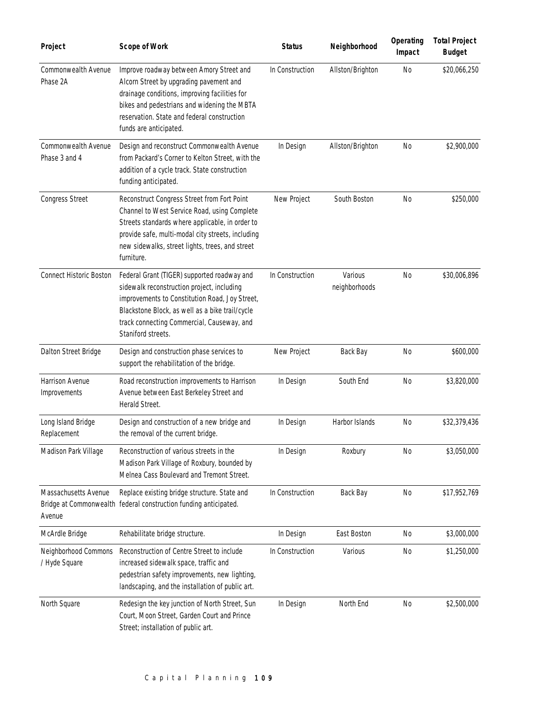| Project                               | <b>Scope of Work</b>                                                                                                                                                                                                                                                 | <b>Status</b>   | Neighborhood             | Operating<br>Impact | <b>Total Project</b><br><b>Budget</b> |
|---------------------------------------|----------------------------------------------------------------------------------------------------------------------------------------------------------------------------------------------------------------------------------------------------------------------|-----------------|--------------------------|---------------------|---------------------------------------|
| Commonwealth Avenue<br>Phase 2A       | Improve roadway between Amory Street and<br>Alcorn Street by upgrading pavement and<br>drainage conditions, improving facilities for<br>bikes and pedestrians and widening the MBTA<br>reservation. State and federal construction<br>funds are anticipated.         | In Construction | Allston/Brighton         | <b>No</b>           | \$20,066,250                          |
| Commonwealth Avenue<br>Phase 3 and 4  | Design and reconstruct Commonwealth Avenue<br>from Packard's Corner to Kelton Street, with the<br>addition of a cycle track. State construction<br>funding anticipated.                                                                                              | In Design       | Allston/Brighton         | <b>No</b>           | \$2,900,000                           |
| <b>Congress Street</b>                | Reconstruct Congress Street from Fort Point<br>Channel to West Service Road, using Complete<br>Streets standards where applicable, in order to<br>provide safe, multi-modal city streets, including<br>new sidewalks, street lights, trees, and street<br>furniture. | New Project     | South Boston             | <b>No</b>           | \$250,000                             |
| <b>Connect Historic Boston</b>        | Federal Grant (TIGER) supported roadway and<br>sidewalk reconstruction project, including<br>improvements to Constitution Road, Joy Street,<br>Blackstone Block, as well as a bike trail/cycle<br>track connecting Commercial, Causeway, and<br>Staniford streets.   | In Construction | Various<br>neighborhoods | N <sub>0</sub>      | \$30,006,896                          |
| Dalton Street Bridge                  | Design and construction phase services to<br>support the rehabilitation of the bridge.                                                                                                                                                                               | New Project     | Back Bay                 | N <sub>0</sub>      | \$600,000                             |
| Harrison Avenue<br>Improvements       | Road reconstruction improvements to Harrison<br>Avenue between East Berkeley Street and<br>Herald Street.                                                                                                                                                            | In Design       | South End                | N <sub>0</sub>      | \$3,820,000                           |
| Long Island Bridge<br>Replacement     | Design and construction of a new bridge and<br>the removal of the current bridge.                                                                                                                                                                                    | In Design       | Harbor Islands           | <b>No</b>           | \$32,379,436                          |
| Madison Park Village                  | Reconstruction of various streets in the<br>Madison Park Village of Roxbury, bounded by<br>Melnea Cass Boulevard and Tremont Street.                                                                                                                                 | In Design       | Roxbury                  | N <sub>0</sub>      | \$3,050,000                           |
| Massachusetts Avenue<br>Avenue        | Replace existing bridge structure. State and<br>Bridge at Commonwealth federal construction funding anticipated.                                                                                                                                                     | In Construction | Back Bay                 | <b>No</b>           | \$17,952,769                          |
| McArdle Bridge                        | Rehabilitate bridge structure.                                                                                                                                                                                                                                       | In Design       | East Boston              | <b>No</b>           | \$3,000,000                           |
| Neighborhood Commons<br>/ Hyde Square | Reconstruction of Centre Street to include<br>increased sidewalk space, traffic and<br>pedestrian safety improvements, new lighting,<br>landscaping, and the installation of public art.                                                                             | In Construction | Various                  | <b>No</b>           | \$1,250,000                           |
| North Square                          | Redesign the key junction of North Street, Sun<br>Court, Moon Street, Garden Court and Prince<br>Street; installation of public art.                                                                                                                                 | In Design       | North End                | <b>No</b>           | \$2,500,000                           |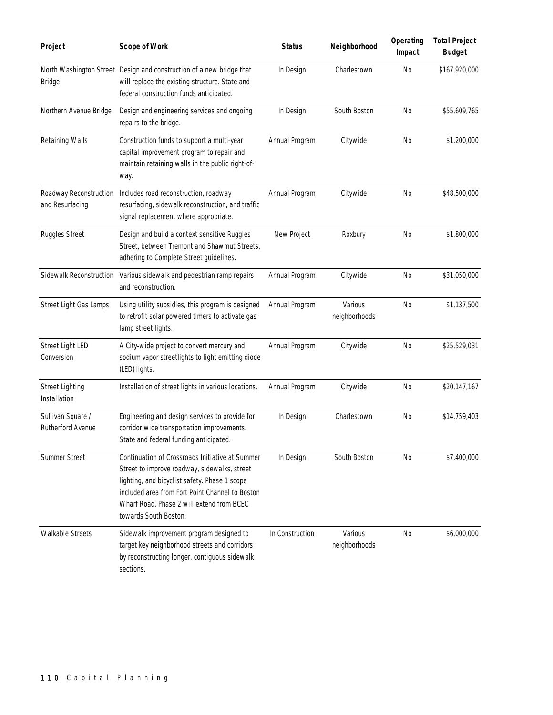| Project                                   | <b>Scope of Work</b>                                                                                                                                                                                                                                                      | <b>Status</b>   | Neighborhood             | Operating<br>Impact | <b>Total Project</b><br><b>Budget</b> |
|-------------------------------------------|---------------------------------------------------------------------------------------------------------------------------------------------------------------------------------------------------------------------------------------------------------------------------|-----------------|--------------------------|---------------------|---------------------------------------|
| Bridge                                    | North Washington Street Design and construction of a new bridge that<br>will replace the existing structure. State and<br>federal construction funds anticipated.                                                                                                         | In Design       | Charlestown              | <b>No</b>           | \$167,920,000                         |
| Northern Avenue Bridge                    | Design and engineering services and ongoing<br>repairs to the bridge.                                                                                                                                                                                                     | In Design       | South Boston             | <b>No</b>           | \$55,609,765                          |
| Retaining Walls                           | Construction funds to support a multi-year<br>capital improvement program to repair and<br>maintain retaining walls in the public right-of-<br>way.                                                                                                                       | Annual Program  | Citywide                 | <b>No</b>           | \$1,200,000                           |
| Roadway Reconstruction<br>and Resurfacing | Includes road reconstruction, roadway<br>resurfacing, sidewalk reconstruction, and traffic<br>signal replacement where appropriate.                                                                                                                                       | Annual Program  | Citywide                 | N <sub>0</sub>      | \$48,500,000                          |
| Ruggles Street                            | Design and build a context sensitive Ruggles<br>Street, between Tremont and Shawmut Streets,<br>adhering to Complete Street guidelines.                                                                                                                                   | New Project     | Roxbury                  | <b>No</b>           | \$1,800,000                           |
| Sidewalk Reconstruction                   | Various sidewalk and pedestrian ramp repairs<br>and reconstruction.                                                                                                                                                                                                       | Annual Program  | Citywide                 | N <sub>0</sub>      | \$31,050,000                          |
| Street Light Gas Lamps                    | Using utility subsidies, this program is designed<br>to retrofit solar powered timers to activate gas<br>lamp street lights.                                                                                                                                              | Annual Program  | Various<br>neighborhoods | <b>No</b>           | \$1,137,500                           |
| Street Light LED<br>Conversion            | A City-wide project to convert mercury and<br>sodium vapor streetlights to light emitting diode<br>(LED) lights.                                                                                                                                                          | Annual Program  | Citywide                 | <b>No</b>           | \$25,529,031                          |
| <b>Street Lighting</b><br>Installation    | Installation of street lights in various locations.                                                                                                                                                                                                                       | Annual Program  | Citywide                 | N <sub>0</sub>      | \$20,147,167                          |
| Sullivan Square /<br>Rutherford Avenue    | Engineering and design services to provide for<br>corridor wide transportation improvements.<br>State and federal funding anticipated.                                                                                                                                    | In Design       | Charlestown              | <b>No</b>           | \$14,759,403                          |
| Summer Street                             | Continuation of Crossroads Initiative at Summer<br>Street to improve roadway, sidewalks, street<br>lighting, and bicyclist safety. Phase 1 scope<br>included area from Fort Point Channel to Boston<br>Wharf Road. Phase 2 will extend from BCEC<br>towards South Boston. | In Design       | South Boston             | <b>No</b>           | \$7,400,000                           |
| Walkable Streets                          | Sidewalk improvement program designed to<br>target key neighborhood streets and corridors<br>by reconstructing longer, contiguous sidewalk<br>sections.                                                                                                                   | In Construction | Various<br>neighborhoods | <b>No</b>           | \$6,000,000                           |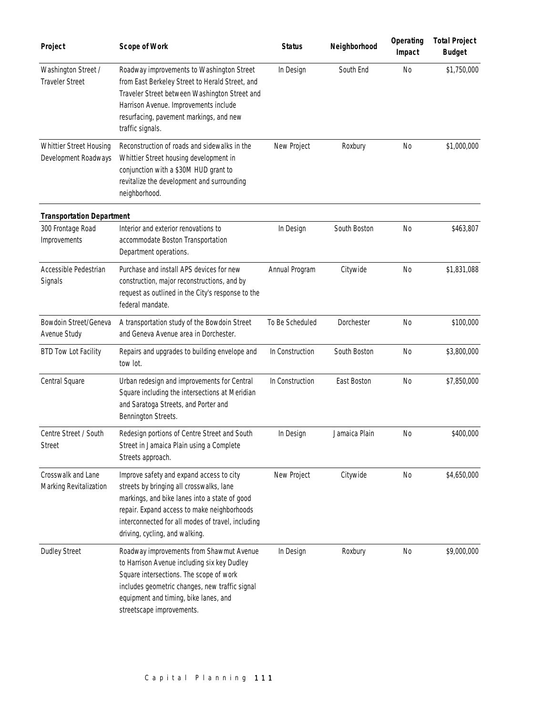| Project                                         | <b>Scope of Work</b>                                                                                                                                                                                                                                                        | <b>Status</b>   | Neighborhood  | Operating<br>Impact | <b>Total Project</b><br><b>Budget</b> |
|-------------------------------------------------|-----------------------------------------------------------------------------------------------------------------------------------------------------------------------------------------------------------------------------------------------------------------------------|-----------------|---------------|---------------------|---------------------------------------|
| Washington Street /<br><b>Traveler Street</b>   | Roadway improvements to Washington Street<br>from East Berkeley Street to Herald Street, and<br>Traveler Street between Washington Street and<br>Harrison Avenue. Improvements include<br>resurfacing, pavement markings, and new<br>traffic signals.                       | In Design       | South End     | No                  | \$1,750,000                           |
| Whittier Street Housing<br>Development Roadways | Reconstruction of roads and sidewalks in the<br>Whittier Street housing development in<br>conjunction with a \$30M HUD grant to<br>revitalize the development and surrounding<br>neighborhood.                                                                              | New Project     | Roxbury       | <b>No</b>           | \$1,000,000                           |
| <b>Transportation Department</b>                |                                                                                                                                                                                                                                                                             |                 |               |                     |                                       |
| 300 Frontage Road<br>Improvements               | Interior and exterior renovations to<br>accommodate Boston Transportation<br>Department operations.                                                                                                                                                                         | In Design       | South Boston  | <b>No</b>           | \$463,807                             |
| Accessible Pedestrian<br>Signals                | Purchase and install APS devices for new<br>construction, major reconstructions, and by<br>request as outlined in the City's response to the<br>federal mandate.                                                                                                            | Annual Program  | Citywide      | <b>No</b>           | \$1,831,088                           |
| Bowdoin Street/Geneva<br>Avenue Study           | A transportation study of the Bowdoin Street<br>and Geneva Avenue area in Dorchester.                                                                                                                                                                                       | To Be Scheduled | Dorchester    | N <sub>0</sub>      | \$100,000                             |
| <b>BTD Tow Lot Facility</b>                     | Repairs and upgrades to building envelope and<br>tow lot.                                                                                                                                                                                                                   | In Construction | South Boston  | No                  | \$3,800,000                           |
| Central Square                                  | Urban redesign and improvements for Central<br>Square including the intersections at Meridian<br>and Saratoga Streets, and Porter and<br>Bennington Streets.                                                                                                                | In Construction | East Boston   | <b>No</b>           | \$7,850,000                           |
| Centre Street / South<br>Street                 | Redesign portions of Centre Street and South<br>Street in Jamaica Plain using a Complete<br>Streets approach.                                                                                                                                                               | In Design       | Jamaica Plain | No                  | \$400,000                             |
| Crosswalk and Lane<br>Marking Revitalization    | Improve safety and expand access to city<br>streets by bringing all crosswalks, lane<br>markings, and bike lanes into a state of good<br>repair. Expand access to make neighborhoods<br>interconnected for all modes of travel, including<br>driving, cycling, and walking. | New Project     | Citywide      | No                  | \$4,650,000                           |
| <b>Dudley Street</b>                            | Roadway improvements from Shawmut Avenue<br>to Harrison Avenue including six key Dudley<br>Square intersections. The scope of work<br>includes geometric changes, new traffic signal<br>equipment and timing, bike lanes, and<br>streetscape improvements.                  | In Design       | Roxbury       | No                  | \$9,000,000                           |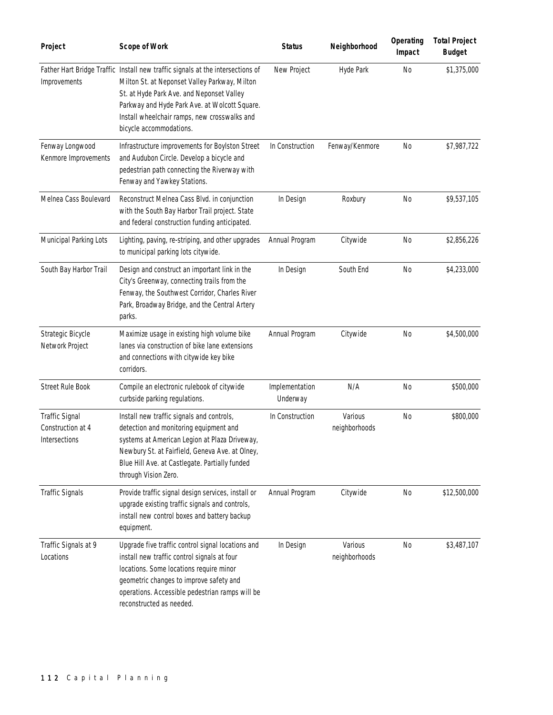| Project                                              | <b>Scope of Work</b>                                                                                                                                                                                                                                                                                     | <b>Status</b>              | Neighborhood             | Operating<br>Impact | <b>Total Project</b><br><b>Budget</b> |
|------------------------------------------------------|----------------------------------------------------------------------------------------------------------------------------------------------------------------------------------------------------------------------------------------------------------------------------------------------------------|----------------------------|--------------------------|---------------------|---------------------------------------|
| Improvements                                         | Father Hart Bridge Traffic Install new traffic signals at the intersections of<br>Milton St. at Neponset Valley Parkway, Milton<br>St. at Hyde Park Ave. and Neponset Valley<br>Parkway and Hyde Park Ave. at Wolcott Square.<br>Install wheelchair ramps, new crosswalks and<br>bicycle accommodations. | New Project                | Hyde Park                | <b>No</b>           | \$1,375,000                           |
| Fenway Longwood<br>Kenmore Improvements              | Infrastructure improvements for Boylston Street<br>and Audubon Circle. Develop a bicycle and<br>pedestrian path connecting the Riverway with<br>Fenway and Yawkey Stations.                                                                                                                              | In Construction            | Fenway/Kenmore           | <b>No</b>           | \$7,987,722                           |
| Melnea Cass Boulevard                                | Reconstruct Melnea Cass Blvd. in conjunction<br>with the South Bay Harbor Trail project. State<br>and federal construction funding anticipated.                                                                                                                                                          | In Design                  | Roxbury                  | N <sub>0</sub>      | \$9,537,105                           |
| Municipal Parking Lots                               | Lighting, paving, re-striping, and other upgrades<br>to municipal parking lots citywide.                                                                                                                                                                                                                 | Annual Program             | Citywide                 | <b>No</b>           | \$2,856,226                           |
| South Bay Harbor Trail                               | Design and construct an important link in the<br>City's Greenway, connecting trails from the<br>Fenway, the Southwest Corridor, Charles River<br>Park, Broadway Bridge, and the Central Artery<br>parks.                                                                                                 | In Design                  | South End                | N <sub>0</sub>      | \$4,233,000                           |
| Strategic Bicycle<br>Network Project                 | Maximize usage in existing high volume bike<br>lanes via construction of bike lane extensions<br>and connections with citywide key bike<br>corridors.                                                                                                                                                    | Annual Program             | Citywide                 | <b>No</b>           | \$4,500,000                           |
| <b>Street Rule Book</b>                              | Compile an electronic rulebook of citywide<br>curbside parking regulations.                                                                                                                                                                                                                              | Implementation<br>Underway | N/A                      | <b>No</b>           | \$500,000                             |
| Traffic Signal<br>Construction at 4<br>Intersections | Install new traffic signals and controls,<br>detection and monitoring equipment and<br>systems at American Legion at Plaza Driveway,<br>Newbury St. at Fairfield, Geneva Ave. at Olney,<br>Blue Hill Ave. at Castlegate. Partially funded<br>through Vision Zero.                                        | In Construction            | Various<br>neighborhoods | <b>No</b>           | \$800,000                             |
| <b>Traffic Signals</b>                               | Provide traffic signal design services, install or<br>upgrade existing traffic signals and controls,<br>install new control boxes and battery backup<br>equipment.                                                                                                                                       | Annual Program             | Citywide                 | <b>No</b>           | \$12,500,000                          |
| Traffic Signals at 9<br>Locations                    | Upgrade five traffic control signal locations and<br>install new traffic control signals at four<br>locations. Some locations require minor<br>geometric changes to improve safety and<br>operations. Accessible pedestrian ramps will be<br>reconstructed as needed.                                    | In Design                  | Various<br>neighborhoods | <b>No</b>           | \$3,487,107                           |